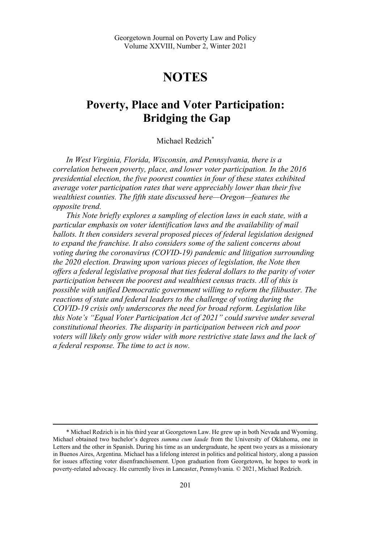# **NOTES**

# **Poverty, Place and Voter Participation: Bridging the Gap**

# Michael Redzich<sup>\*</sup>

*In West Virginia, Florida, Wisconsin, and Pennsylvania, there is a correlation between poverty, place, and lower voter participation. In the 2016 presidential election, the five poorest counties in four of these states exhibited average voter participation rates that were appreciably lower than their five wealthiest counties. The fifth state discussed here—Oregon—features the opposite trend.* 

*This Note briefly explores a sampling of election laws in each state, with a particular emphasis on voter identification laws and the availability of mail ballots. It then considers several proposed pieces of federal legislation designed to expand the franchise. It also considers some of the salient concerns about voting during the coronavirus (COVID-19) pandemic and litigation surrounding the 2020 election. Drawing upon various pieces of legislation, the Note then offers a federal legislative proposal that ties federal dollars to the parity of voter participation between the poorest and wealthiest census tracts. All of this is possible with unified Democratic government willing to reform the filibuster. The reactions of state and federal leaders to the challenge of voting during the COVID-19 crisis only underscores the need for broad reform. Legislation like this Note's "Equal Voter Participation Act of 2021" could survive under several constitutional theories. The disparity in participation between rich and poor voters will likely only grow wider with more restrictive state laws and the lack of a federal response. The time to act is now.* 

<sup>\*</sup> Michael Redzich is in his third year at Georgetown Law. He grew up in both Nevada and Wyoming. Michael obtained two bachelor's degrees *summa cum laude* from the University of Oklahoma, one in Letters and the other in Spanish. During his time as an undergraduate, he spent two years as a missionary in Buenos Aires, Argentina. Michael has a lifelong interest in politics and political history, along a passion for issues affecting voter disenfranchisement. Upon graduation from Georgetown, he hopes to work in poverty-related advocacy. He currently lives in Lancaster, Pennsylvania. © 2021, Michael Redzich.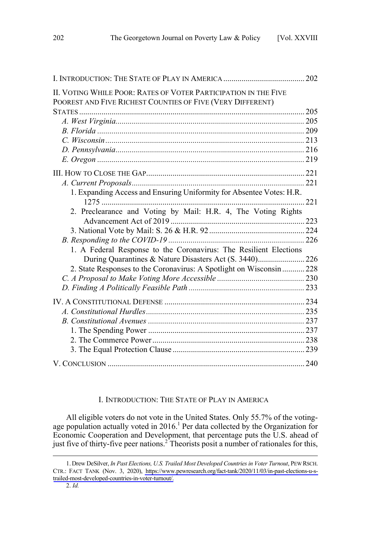| II. VOTING WHILE POOR: RATES OF VOTER PARTICIPATION IN THE FIVE<br>POOREST AND FIVE RICHEST COUNTIES OF FIVE (VERY DIFFERENT) |  |
|-------------------------------------------------------------------------------------------------------------------------------|--|
|                                                                                                                               |  |
|                                                                                                                               |  |
|                                                                                                                               |  |
|                                                                                                                               |  |
|                                                                                                                               |  |
|                                                                                                                               |  |
|                                                                                                                               |  |
|                                                                                                                               |  |
| 1. Expanding Access and Ensuring Uniformity for Absentee Votes: H.R.                                                          |  |
|                                                                                                                               |  |
| 2. Preclearance and Voting by Mail: H.R. 4, The Voting Rights                                                                 |  |
|                                                                                                                               |  |
|                                                                                                                               |  |
|                                                                                                                               |  |
| 1. A Federal Response to the Coronavirus: The Resilient Elections                                                             |  |
| During Quarantines & Nature Disasters Act (S. 3440)226                                                                        |  |
| 2. State Responses to the Coronavirus: A Spotlight on Wisconsin  228                                                          |  |
|                                                                                                                               |  |
|                                                                                                                               |  |
|                                                                                                                               |  |
|                                                                                                                               |  |
|                                                                                                                               |  |
|                                                                                                                               |  |
|                                                                                                                               |  |
|                                                                                                                               |  |
|                                                                                                                               |  |

# I. INTRODUCTION: THE STATE OF PLAY IN AMERICA

All eligible voters do not vote in the United States. Only 55.7% of the votingage population actually voted in  $2016$ .<sup>1</sup> Per data collected by the Organization for Economic Cooperation and Development, that percentage puts the U.S. ahead of just five of thirty-five peer nations.<sup>2</sup> Theorists posit a number of rationales for this,

Drew DeSilver, *In Past Elections, U.S. Trailed Most Developed Countries in Voter Turnout*, PEW RSCH. 1. CTR.: FACT TANK (Nov. 3, 2020), [https://www.pewresearch.org/fact-tank/2020/11/03/in-past-elections-u-s](https://www.pewresearch.org/fact-tank/2020/11/03/in-past-elections-u-s-trailed-most-developed-countries-in-voter-turnout/)[trailed-most-developed-countries-in-voter-turnout/.](https://www.pewresearch.org/fact-tank/2020/11/03/in-past-elections-u-s-trailed-most-developed-countries-in-voter-turnout/)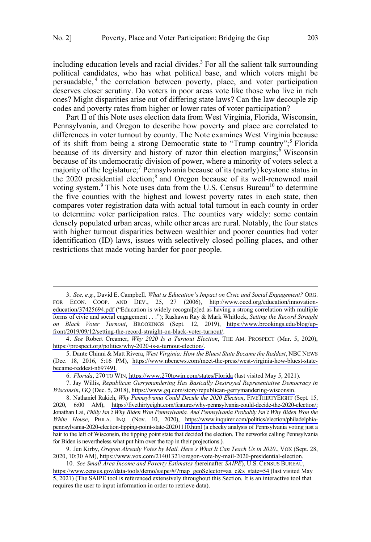including education levels and racial divides.<sup>3</sup> For all the salient talk surrounding political candidates, who has what political base, and which voters might be persuadable,<sup>4</sup> the correlation between poverty, place, and voter participation deserves closer scrutiny. Do voters in poor areas vote like those who live in rich ones? Might disparities arise out of differing state laws? Can the law decouple zip codes and poverty rates from higher or lower rates of voter participation?

Part II of this Note uses election data from West Virginia, Florida, Wisconsin, Pennsylvania, and Oregon to describe how poverty and place are correlated to differences in voter turnout by county. The Note examines West Virginia because of its shift from being a strong Democratic state to "Trump country";<sup>5</sup> Florida because of its diversity and history of razor thin election margins; Wisconsin because of its undemocratic division of power, where a minority of voters select a majority of the legislature;<sup>7</sup> Pennsylvania because of its (nearly) keystone status in the 2020 presidential election;<sup>8</sup> and Oregon because of its well-renowned mail voting system.<sup>9</sup> This Note uses data from the U.S. Census Bureau<sup>10</sup> to determine the five counties with the highest and lowest poverty rates in each state, then compares voter registration data with actual total turnout in each county in order to determine voter participation rates. The counties vary widely: some contain densely populated urban areas, while other areas are rural. Notably, the four states with higher turnout disparities between wealthier and poorer counties had voter identification (ID) laws, issues with selectively closed polling places, and other restrictions that made voting harder for poor people.

*See, e.g.*, David E. Campbell*, What is Education's Impact on Civic and Social Engagement?* ORG. 3. FOR ECON. COOP. AND DEV., 25, 27 (2006), [http://www.oecd.org/education/innovation](http://www.oecd.org/education/innovation-education/37425694.pdf)[education/37425694.pdf](http://www.oecd.org/education/innovation-education/37425694.pdf) ("Education is widely recogni[z]ed as having a strong correlation with multiple forms of civic and social engagement . . ."); Rashawn Ray & Mark Whitlock, *Setting the Record Straight on Black Voter Turnout*, BROOKINGS (Sept. 12, 2019), [https://www.brookings.edu/blog/up](https://www.brookings.edu/blog/up-front/2019/09/12/setting-the-record-straight-on-black-voter-turnout/)[front/2019/09/12/setting-the-record-straight-on-black-voter-turnout/.](https://www.brookings.edu/blog/up-front/2019/09/12/setting-the-record-straight-on-black-voter-turnout/)

*See* Robert Creamer, *Why 2020 Is a Turnout Election*, THE AM. PROSPECT (Mar. 5, 2020), 4. [https://prospect.org/politics/why-2020-is-a-turnout-election/.](https://prospect.org/politics/why-2020-is-a-turnout-election/)

<sup>5.</sup> Dante Chinni & Matt Rivera, West Virginia: How the Bluest State Became the Reddest, NBC NEWS (Dec. 18, 2016, 5:16 PM), [https://www.nbcnews.com/meet-the-press/west-virginia-how-bluest-state](https://www.nbcnews.com/meet-the-press/west-virginia-how-bluest-state-became-reddest-n697491)[became-reddest-n697491.](https://www.nbcnews.com/meet-the-press/west-virginia-how-bluest-state-became-reddest-n697491)

*Florida*, 270 TO WIN,<https://www.270towin.com/states/Florida>(last visited May 5, 2021). 6.

Jay Willis, *Republican Gerrymandering Has Basically Destroyed Representative Democracy in*  7. *Wisconsin*, GQ (Dec. 5, 2018), [https://www.gq.com/story/republican-gerrymandering-wisconsin.](https://www.gq.com/story/republican-gerrymandering-wisconsin)

<sup>8.</sup> Nathaniel Rakich, Why Pennsylvania Could Decide the 2020 Election, FIVETHIRTYEIGHT (Sept. 15, 2020, 6:00 AM), [https://fivethirtyeight.com/features/why-pennsylvania-could-decide-the-2020-election/;](https://fivethirtyeight.com/features/why-pennsylvania-could-decide-the-2020-election/) Jonathan Lai, *Philly Isn't Why Biden Won Pennsylvania. And Pennsylvania Probably Isn't Why Biden Won the White House*, PHILA. INQ. (Nov. 10, 2020), [https://www.inquirer.com/politics/election/philadelphia](https://www.inquirer.com/politics/election/philadelphia-pennsylvania-2020-election-tipping-point-state-20201110.html)[pennsylvania-2020-election-tipping-point-state-20201110.html](https://www.inquirer.com/politics/election/philadelphia-pennsylvania-2020-election-tipping-point-state-20201110.html) (a cheeky analysis of Pennsylvania voting just a hair to the left of Wisconsin, the tipping point state that decided the election. The networks calling Pennsylvania for Biden is nevertheless what put him over the top in their projections.).

<sup>9.</sup> Jen Kirby, *Oregon Already Votes by Mail. Here's What It Can Teach Us in 2020.*, VOX (Sept. 28, 2020, 10:30 AM), [https://www.vox.com/21401321/oregon-vote-by-mail-2020-presidential-election.](https://www.vox.com/21401321/oregon-vote-by-mail-2020-presidential-election)

*See Small Area Income and Poverty Estimates (*hereinafter *SAIPE*), U.S. CENSUS BUREAU, 10. [https://www.census.gov/data-tools/demo/saipe/#/?map\\_geoSelector=aa\\_c&s\\_state=54](https://www.census.gov/data-tools/demo/saipe/#/?map_geoSelector=aa_c&s_state=54) (last visited May 5, 2021) (The SAIPE tool is referenced extensively throughout this Section. It is an interactive tool that requires the user to input information in order to retrieve data).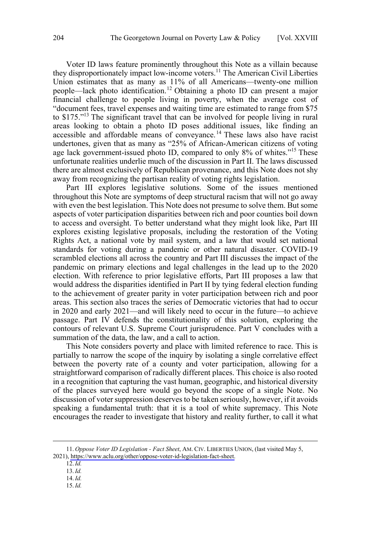Voter ID laws feature prominently throughout this Note as a villain because they disproportionately impact low-income voters.<sup>11</sup> The American Civil Liberties Union estimates that as many as 11% of all Americans—twenty-one million people—lack photo identification.<sup>12</sup> Obtaining a photo ID can present a major financial challenge to people living in poverty, when the average cost of "document fees, travel expenses and waiting time are estimated to range from \$75 to \$175."13 The significant travel that can be involved for people living in rural areas looking to obtain a photo ID poses additional issues, like finding an accessible and affordable means of conveyance.<sup>14</sup> These laws also have racist undertones, given that as many as "25% of African-American citizens of voting age lack government-issued photo ID, compared to only 8% of whites."<sup>15</sup> These unfortunate realities underlie much of the discussion in Part II. The laws discussed there are almost exclusively of Republican provenance, and this Note does not shy away from recognizing the partisan reality of voting rights legislation.

Part III explores legislative solutions. Some of the issues mentioned throughout this Note are symptoms of deep structural racism that will not go away with even the best legislation. This Note does not presume to solve them. But some aspects of voter participation disparities between rich and poor counties boil down to access and oversight. To better understand what they might look like, Part III explores existing legislative proposals, including the restoration of the Voting Rights Act, a national vote by mail system, and a law that would set national standards for voting during a pandemic or other natural disaster. COVID-19 scrambled elections all across the country and Part III discusses the impact of the pandemic on primary elections and legal challenges in the lead up to the 2020 election. With reference to prior legislative efforts, Part III proposes a law that would address the disparities identified in Part II by tying federal election funding to the achievement of greater parity in voter participation between rich and poor areas. This section also traces the series of Democratic victories that had to occur in 2020 and early 2021—and will likely need to occur in the future—to achieve passage. Part IV defends the constitutionality of this solution, exploring the contours of relevant U.S. Supreme Court jurisprudence. Part V concludes with a summation of the data, the law, and a call to action.

This Note considers poverty and place with limited reference to race. This is partially to narrow the scope of the inquiry by isolating a single correlative effect between the poverty rate of a county and voter participation, allowing for a straightforward comparison of radically different places. This choice is also rooted in a recognition that capturing the vast human, geographic, and historical diversity of the places surveyed here would go beyond the scope of a single Note. No discussion of voter suppression deserves to be taken seriously, however, if it avoids speaking a fundamental truth: that it is a tool of white supremacy. This Note encourages the reader to investigate that history and reality further, to call it what

*Oppose Voter ID Legislation - Fact Sheet*, AM. CIV. LIBERTIES UNION, (last visited May 5, 11. 2021), [https://www.aclu.org/other/oppose-voter-id-legislation-fact-sheet.](https://www.aclu.org/other/oppose-voter-id-legislation-fact-sheet)

<sup>12.</sup>*Id.*

<sup>13.</sup>*Id.* 14.*Id.* 15.*Id.*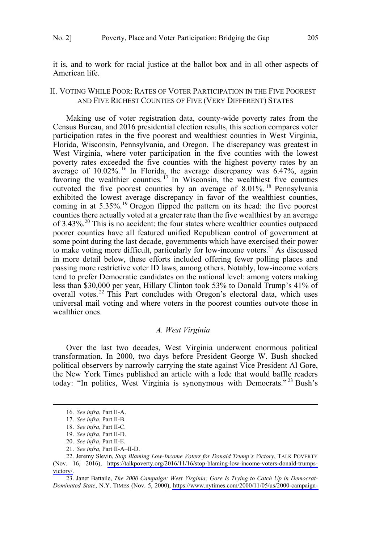<span id="page-4-0"></span>it is, and to work for racial justice at the ballot box and in all other aspects of American life.

# II. VOTING WHILE POOR: RATES OF VOTER PARTICIPATION IN THE FIVE POOREST AND FIVE RICHEST COUNTIES OF FIVE (VERY DIFFERENT) STATES

Making use of voter registration data, county-wide poverty rates from the Census Bureau, and 2016 presidential election results, this section compares voter participation rates in the five poorest and wealthiest counties in West Virginia, Florida, Wisconsin, Pennsylvania, and Oregon. The discrepancy was greatest in West Virginia, where voter participation in the five counties with the lowest poverty rates exceeded the five counties with the highest poverty rates by an average of 10.02%.<sup>16</sup> In Florida, the average discrepancy was 6.47%, again favoring the wealthier counties. <sup>17</sup> In Wisconsin, the wealthiest five counties outvoted the five poorest counties by an average of 8.01%. <sup>18</sup> Pennsylvania exhibited the lowest average discrepancy in favor of the wealthiest counties, coming in at 5.35%.<sup>19</sup> Oregon flipped the pattern on its head: the five poorest counties there actually voted at a greater rate than the five wealthiest by an average of 3.43%.<sup>20</sup> This is no accident: the four states where wealthier counties outpaced poorer counties have all featured unified Republican control of government at some point during the last decade, governments which have exercised their power to make voting more difficult, particularly for low-income voters.<sup>21</sup> As discussed in more detail below, these efforts included offering fewer polling places and passing more restrictive voter ID laws, among others. Notably, low-income voters tend to prefer Democratic candidates on the national level: among voters making less than \$30,000 per year, Hillary Clinton took 53% to Donald Trump's 41% of overall votes.<sup>22</sup> This Part concludes with Oregon's electoral data, which uses universal mail voting and where voters in the poorest counties outvote those in wealthier ones.

## *A. West Virginia*

Over the last two decades, West Virginia underwent enormous political transformation. In 2000, two days before President George W. Bush shocked political observers by narrowly carrying the state against Vice President Al Gore, the New York Times published an article with a lede that would baffle readers today: "In politics, West Virginia is synonymous with Democrats."<sup>23</sup> Bush's

<sup>16.</sup> *See infra*, Part II-A.

<sup>17.</sup> *See infra*, Part II-B.

<sup>18.</sup> *See infra*, Part II-C.

<sup>19.</sup> *See infra*, Part II-D.

<sup>20.</sup> *See infra*, Part II-E.

<sup>21.</sup> *See infra*, Part II-A–II-D.

<sup>22.</sup> Jeremy Slevin, *Stop Blaming Low-Income Voters for Donald Trump's Victory*, TALK POVERTY (Nov. 16, 2016), [https://talkpoverty.org/2016/11/16/stop-blaming-low-income-voters-donald-trumps](https://talkpoverty.org/2016/11/16/stop-blaming-low-income-voters-donald-trumps-victory/)[victory/.](https://talkpoverty.org/2016/11/16/stop-blaming-low-income-voters-donald-trumps-victory/)

<sup>23.</sup> Janet Battaile, *The 2000 Campaign: West Virginia; Gore Is Trying to Catch Up in Democrat-Dominated State*, N.Y. TIMES (Nov. 5, 2000), [https://www.nytimes.com/2000/11/05/us/2000-campaign-](https://www.nytimes.com/2000/11/05/us/2000-campaign-west-virginia-gore-trying-catch-up-democrat-dominated-state.html)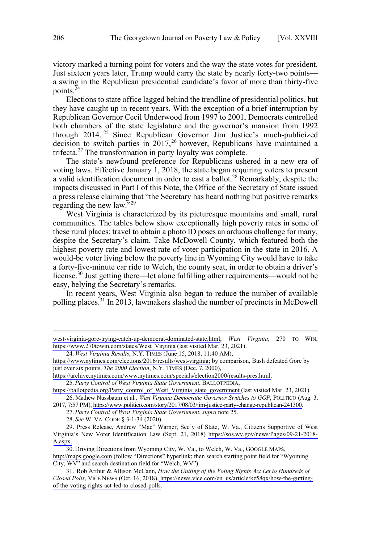victory marked a turning point for voters and the way the state votes for president. Just sixteen years later, Trump would carry the state by nearly forty-two points a swing in the Republican presidential candidate's favor of more than thirty-five points. $24$ 

Elections to state office lagged behind the trendline of presidential politics, but they have caught up in recent years. With the exception of a brief interruption by Republican Governor Cecil Underwood from 1997 to 2001, Democrats controlled both chambers of the state legislature and the governor's mansion from 1992 through 2014. <sup>25</sup> Since Republican Governor Jim Justice's much-publicized decision to switch parties in 2017,<sup>26</sup> however, Republicans have maintained a trifecta. $^{27}$  The transformation in party loyalty was complete.

The state's newfound preference for Republicans ushered in a new era of voting laws. Effective January 1, 2018, the state began requiring voters to present a valid identification document in order to cast a ballot.<sup>28</sup> Remarkably, despite the impacts discussed in Part I of this Note, the Office of the Secretary of State issued a press release claiming that "the Secretary has heard nothing but positive remarks regarding the new law."<sup>29</sup>

West Virginia is characterized by its picturesque mountains and small, rural communities. The tables below show exceptionally high poverty rates in some of these rural places; travel to obtain a photo ID poses an arduous challenge for many, despite the Secretary's claim. Take McDowell County, which featured both the highest poverty rate and lowest rate of voter participation in the state in 2016. A would-be voter living below the poverty line in Wyoming City would have to take a forty-five-minute car ride to Welch, the county seat, in order to obtain a driver's license.<sup>30</sup> Just getting there—let alone fulfilling other requirements—would not be easy, belying the Secretary's remarks.

In recent years, West Virginia also began to reduce the number of available polling places.<sup>31</sup> In 2013, lawmakers slashed the number of precincts in McDowell

[west-virginia-gore-trying-catch-up-democrat-dominated-state.html;](https://www.nytimes.com/2000/11/05/us/2000-campaign-west-virginia-gore-trying-catch-up-democrat-dominated-state.html) *West Virginia*, 270 TO WIN, [https://www.270towin.com/states/West\\_Virginia](https://www.270towin.com/states/West_Virginia) (last visited Mar. 23, 2021).

*West Virginia Results*, N.Y. TIMES (June 15, 2018, 11:40 AM), 24.

[https://www.nytimes.com/elections/2016/results/west-virginia;](https://www.nytimes.com/elections/2016/results/west-virginia) by comparison, Bush defeated Gore by just over six points. *The 2000 Election*, N.Y. TIMES (Dec. 7, 2000),

[https://archive.nytimes.com/www.nytimes.com/specials/election2000/results-pres.html.](https://archive.nytimes.com/www.nytimes.com/specials/election2000/results-pres.html)

*Party Control of West Virginia State Government*, BALLOTPEDIA, 25.

[https://ballotpedia.org/Party\\_control\\_of\\_West\\_Virginia\\_state\\_government \(](https://ballotpedia.org/Party_control_of_West_Virginia_state_government)last visited Mar. 23, 2021). 26. Mathew Nussbaum et al., West Virginia Democratic Governor Switches to GOP, POLITICO (Aug. 3,

<sup>2017, 7:57</sup> PM), [https://www.politico.com/story/2017/08/03/jim-justice-party-change-republican-241300.](https://www.politico.com/story/2017/08/03/jim-justice-party-change-republican-241300)

<sup>27.</sup> *Party Control of West Virginia State Government*, *supra* note 25.

<sup>28.</sup> *See* W. VA. CODE § 3-1-34 (2020).

<sup>29.</sup> Press Release, Andrew "Mac" Warner, Sec'y of State, W. Va., Citizens Supportive of West Virginia's New Voter Identification Law (Sept. 21, 2018) [https://sos.wv.gov/news/Pages/09-21-2018-](https://sos.wv.gov/news/Pages/09-21-2018-A.aspx) [A.aspx.](https://sos.wv.gov/news/Pages/09-21-2018-A.aspx)

<sup>30.</sup> Driving Directions from Wyoming City, W. Va., to Welch, W. Va., GOOGLE MAPS, <http://maps.google.com>(follow "Directions" hyperlink; then search starting point field for "Wyoming City, WV" and search destination field for "Welch, WV").

Rob Arthur & Allison McCann, *How the Gutting of the Voting Rights Act Let to Hundreds of*  31. *Closed Polls*, VICE NEWS (Oct. 16, 2018), [https://news.vice.com/en\\_us/article/kz58qx/how-the-gutting](https://news.vice.com/en_us/article/kz58qx/how-the-gutting-of-the-voting-rights-act-led-to-closed-polls)[of-the-voting-rights-act-led-to-closed-polls.](https://news.vice.com/en_us/article/kz58qx/how-the-gutting-of-the-voting-rights-act-led-to-closed-polls)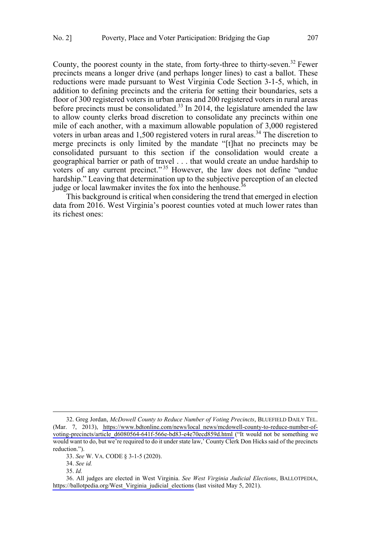County, the poorest county in the state, from forty-three to thirty-seven.<sup>32</sup> Fewer precincts means a longer drive (and perhaps longer lines) to cast a ballot. These reductions were made pursuant to West Virginia Code Section 3-1-5, which, in addition to defining precincts and the criteria for setting their boundaries, sets a floor of 300 registered voters in urban areas and 200 registered voters in rural areas before precincts must be consolidated.<sup>33</sup> In 2014, the legislature amended the law to allow county clerks broad discretion to consolidate any precincts within one mile of each another, with a maximum allowable population of 3,000 registered voters in urban areas and 1,500 registered voters in rural areas.<sup>34</sup> The discretion to merge precincts is only limited by the mandate "[t]hat no precincts may be consolidated pursuant to this section if the consolidation would create a geographical barrier or path of travel . . . that would create an undue hardship to voters of any current precinct."<sup>35</sup> However, the law does not define "undue" hardship." Leaving that determination up to the subjective perception of an elected judge or local lawmaker invites the fox into the henhouse.<sup>36</sup>

This background is critical when considering the trend that emerged in election data from 2016. West Virginia's poorest counties voted at much lower rates than its richest ones:

<sup>32.</sup> Greg Jordan, *McDowell County to Reduce Number of Voting Precincts*, BLUEFIELD DAILY TEL. (Mar. 7, 2013), [https://www.bdtonline.com/news/local\\_news/mcdowell-county-to-reduce-number-of](https://www.bdtonline.com/news/local_news/mcdowell-county-to-reduce-number-of-voting-precincts/article_d6080564-641f-566e-bd83-e4e70ecd859d.html)[voting-precincts/article\\_d6080564-641f-566e-bd83-e4e70ecd859d.html](https://www.bdtonline.com/news/local_news/mcdowell-county-to-reduce-number-of-voting-precincts/article_d6080564-641f-566e-bd83-e4e70ecd859d.html) ("It would not be something we would want to do, but we're required to do it under state law,' County Clerk Don Hicks said of the precincts reduction.").

<sup>33.</sup> *See* W. VA. CODE § 3-1-5 (2020).

<sup>34.</sup> *See id.*

<sup>35.</sup> *Id.*

All judges are elected in West Virginia. *See West Virginia Judicial Elections*, BALLOTPEDIA, 36. [https://ballotpedia.org/West\\_Virginia\\_judicial\\_elections](https://ballotpedia.org/West_Virginia_judicial_elections) (last visited May 5, 2021).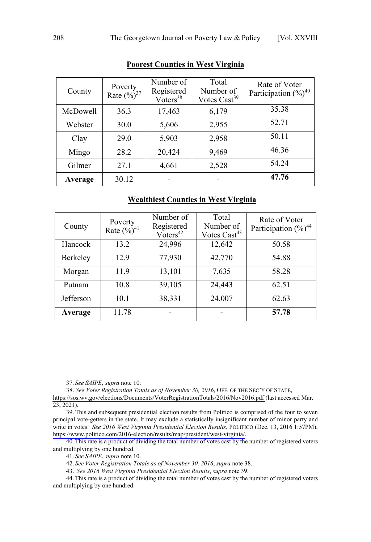| County   | Poverty<br>Rate $(\frac{9}{0})^{37}$ | Number of<br>Registered<br>$V\overline{o}$ ters <sup>38</sup> | Total<br>Number of<br>Votes Cast <sup>39</sup> | Rate of Voter<br>Participation $(\frac{9}{0})^{40}$ |
|----------|--------------------------------------|---------------------------------------------------------------|------------------------------------------------|-----------------------------------------------------|
| McDowell | 36.3                                 | 17,463                                                        | 6,179                                          | 35.38                                               |
| Webster  | 30.0                                 | 5,606                                                         | 2,955                                          | 52.71                                               |
| Clay     | 29.0                                 | 5,903                                                         | 2,958                                          | 50.11                                               |
| Mingo    | 28.2                                 | 20,424                                                        | 9,469                                          | 46.36                                               |
| Gilmer   | 27.1                                 | 4,661                                                         | 2,528                                          | 54.24                                               |
| Average  | 30.12                                |                                                               |                                                | 47.76                                               |

# **Poorest Counties in West Virginia**

# **Wealthiest Counties in West Virginia**

| County    | Poverty<br>Rate $(\frac{9}{6})^{41}$ | Number of<br>Registered<br>$Voters^{42}$ | Total<br>Number of<br>Votes Cast <sup>43</sup> | Rate of Voter<br>Participation $(\%)^{44}$ |
|-----------|--------------------------------------|------------------------------------------|------------------------------------------------|--------------------------------------------|
| Hancock   | 13.2                                 | 24,996                                   | 12,642                                         | 50.58                                      |
| Berkeley  | 12.9                                 | 77,930                                   | 42,770                                         | 54.88                                      |
| Morgan    | 11.9                                 | 13,101                                   | 7,635                                          | 58.28                                      |
| Putnam    | 10.8                                 | 39,105                                   | 24,443                                         | 62.51                                      |
| Jefferson | 10.1                                 | 38,331                                   | 24,007                                         | 62.63                                      |
| Average   | 11.78                                |                                          |                                                | 57.78                                      |

 <sup>37.</sup> *See SAIPE*, *supra* note 10.

*See Voter Registration Totals as of November 30, 2016*, OFF. OF THE SEC'Y OF STATE, 38.

<https://sos.wv.gov/elections/Documents/VoterRegistrationTotals/2016/Nov2016.pdf>(last accessed Mar. 23, 2021).

<sup>39.</sup> This and subsequent presidential election results from Politico is comprised of the four to seven principal vote-getters in the state. It may exclude a statistically insignificant number of minor party and write in votes. *See 2016 West Virginia Presidential Election Results*, POLITICO (Dec. 13, 2016 1:57PM), [https://www.politico.com/2016-election/results/map/president/west-virginia/.](https://www.politico.com/2016-election/results/map/president/west-virginia/)

<sup>40.</sup>This rate is a product of dividing the total number of votes cast by the number of registered voters and multiplying by one hundred.

<sup>41.</sup> *See SAIPE*, *supra* note 10.

<sup>42.</sup> *See Voter Registration Totals as of November 30, 2016*, *supra* note 38.

<sup>43.</sup> *See 2016 West Virginia Presidential Election Results*, *supra* note 39.

<sup>44.</sup>This rate is a product of dividing the total number of votes cast by the number of registered voters and multiplying by one hundred.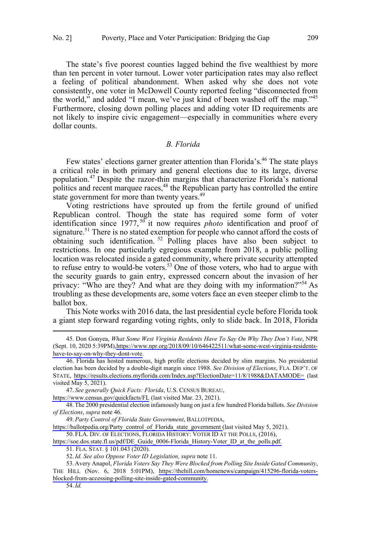<span id="page-8-0"></span>The state's five poorest counties lagged behind the five wealthiest by more than ten percent in voter turnout. Lower voter participation rates may also reflect a feeling of political abandonment. When asked why she does not vote consistently, one voter in McDowell County reported feeling "disconnected from the world," and added "I mean, we've just kind of been washed off the map."<sup>45</sup> Furthermore, closing down polling places and adding voter ID requirements are not likely to inspire civic engagement—especially in communities where every dollar counts.

#### *B. Florida*

Few states' elections garner greater attention than Florida's.<sup>46</sup> The state plays a critical role in both primary and general elections due to its large, diverse population.<sup>47</sup> Despite the razor-thin margins that characterize Florida's national politics and recent marquee races,  $48$  the Republican party has controlled the entire state government for more than twenty years.<sup>49</sup>

Voting restrictions have sprouted up from the fertile ground of unified Republican control. Though the state has required some form of voter identification since 1977,<sup>50</sup> it now requires *photo* identification and proof of signature.<sup>51</sup> There is no stated exemption for people who cannot afford the costs of obtaining such identification.  $52$  Polling places have also been subject to restrictions. In one particularly egregious example from 2018, a public polling location was relocated inside a gated community, where private security attempted to refuse entry to would-be voters.<sup>53</sup> One of those voters, who had to argue with the security guards to gain entry, expressed concern about the invasion of her privacy: "Who are they? And what are they doing with my information?"<sup>54</sup> As troubling as these developments are, some voters face an even steeper climb to the ballot box.

This Note works with 2016 data, the last presidential cycle before Florida took a giant step forward regarding voting rights, only to slide back. In 2018, Florida

 $\overline{a}$ 

*See generally Quick Facts: Florida*, U.S. CENSUS BUREAU, 47.

<https://www.census.gov/quickfacts/FL> (last visited Mar. 23, 2021).

48.The 2000 presidential election infamously hung on just a few hundred Florida ballots. *See Division of Elections*, *supra* note 46.

*Party Control of Florida State Government*, BALLOTPEDIA, 49.

[https://ballotpedia.org/Party\\_control\\_of\\_Florida\\_state\\_government](https://ballotpedia.org/Party_control_of_Florida_state_government) (last visited May 5, 2021).

50. FLA. DIV. OF ELECTIONS, FLORIDA HISTORY: VOTER ID AT THE POLLS, (2016),

[https://soe.dos.state.fl.us/pdf/DE\\_Guide\\_0006-Florida\\_History-Voter\\_ID\\_at\\_the\\_polls.pdf.](https://soe.dos.state.fl.us/pdf/DE_Guide_0006-Florida_History-Voter_ID_at_the_polls.pdf)

51. FLA. STAT. § 101.043 (2020).

53. Avery Anapol, *Florida Voters Say They Were Blocked from Polling Site Inside Gated Community*, THE HILL (Nov. 6, 2018 5:01PM), [https://thehill.com/homenews/campaign/415296-florida-voters](https://thehill.com/homenews/campaign/415296-florida-voters-blocked-from-accessing-polling-site-inside-gated-community)[blocked-from-accessing-polling-site-inside-gated-community.](https://thehill.com/homenews/campaign/415296-florida-voters-blocked-from-accessing-polling-site-inside-gated-community)

54.*Id.*

<sup>45.</sup> Don Gonyea, *What Some West Virginia Residents Have To Say On Why They Don't Vote*, NPR (Sept. 10, 2020 5:39PM)[,https://www.npr.org/2018/09/10/646422511/what-some-west-virginia-residents](https://www.npr.org/2018/09/10/646422511/what-some-west-virginia-residents-have-to-say-on-why-they-dont-vote)[have-to-say-on-why-they-dont-vote.](https://www.npr.org/2018/09/10/646422511/what-some-west-virginia-residents-have-to-say-on-why-they-dont-vote)

<sup>46.</sup> Florida has hosted numerous, high profile elections decided by slim margins. No presidential election has been decided by a double-digit margin since 1988. *See Division of Elections*, FLA. DEP'T. OF STATE, <https://results.elections.myflorida.com/Index.asp?ElectionDate=11/8/1988&DATAMODE=>(last visited May 5, 2021).

<sup>52.</sup>*Id. See also Oppose Voter ID Legislation, supra* note 11.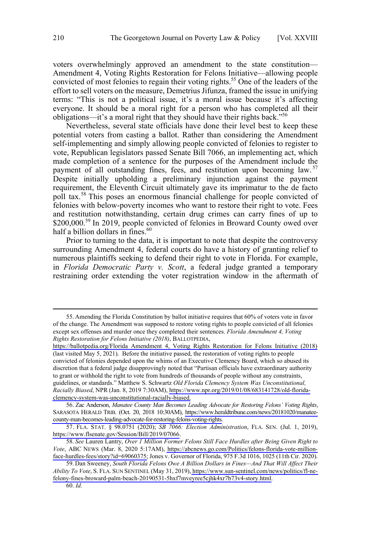voters overwhelmingly approved an amendment to the state constitution— Amendment 4, Voting Rights Restoration for Felons Initiative—allowing people convicted of most felonies to regain their voting rights.<sup>55</sup> One of the leaders of the effort to sell voters on the measure, Demetrius Jifunza, framed the issue in unifying terms: "This is not a political issue, it's a moral issue because it's affecting everyone. It should be a moral right for a person who has completed all their obligations—it's a moral right that they should have their rights back."56

Nevertheless, several state officials have done their level best to keep these potential voters from casting a ballot. Rather than considering the Amendment self-implementing and simply allowing people convicted of felonies to register to vote, Republican legislators passed Senate Bill 7066, an implementing act, which made completion of a sentence for the purposes of the Amendment include the payment of all outstanding fines, fees, and restitution upon becoming law.<sup>57</sup> Despite initially upholding a preliminary injunction against the payment requirement, the Eleventh Circuit ultimately gave its imprimatur to the de facto poll tax.<sup>58</sup> This poses an enormous financial challenge for people convicted of felonies with below-poverty incomes who want to restore their right to vote. Fees and restitution notwithstanding, certain drug crimes can carry fines of up to \$200,000.<sup>59</sup> In 2019, people convicted of felonies in Broward County owed over half a billion dollars in fines.<sup>60</sup>

Prior to turning to the data, it is important to note that despite the controversy surrounding Amendment 4, federal courts do have a history of granting relief to numerous plaintiffs seeking to defend their right to vote in Florida. For example, in *Florida Democratic Party v. Scott*, a federal judge granted a temporary restraining order extending the voter registration window in the aftermath of

<sup>55.</sup> Amending the Florida Constitution by ballot initiative requires that 60% of voters vote in favor of the change. The Amendment was supposed to restore voting rights to people convicted of all felonies except sex offenses and murder once they completed their sentences. *Florida Amendment 4, Voting Rights Restoration for Felons Initiative (2018)*, BALLOTPEDIA,

https://ballotpedia.org/Florida Amendment 4, Voting Rights Restoration for Felons Initiative (2018) (last visited May 5, 2021). Before the initiative passed, the restoration of voting rights to people convicted of felonies depended upon the whims of an Executive Clemency Board, which so abused its discretion that a federal judge disapprovingly noted that "Partisan officials have extraordinary authority to grant or withhold the right to vote from hundreds of thousands of people without any constraints, guidelines, or standards." Matthew S. Schwartz *Old Florida Clemency System Was Unconstitutional, Racially Biased*, NPR (Jan. 8, 2019 7:30AM), [https://www.npr.org/2019/01/08/683141728/old-florida](https://www.npr.org/2019/01/08/683141728/old-florida-clemency-system-was-unconstitutional-racially-biased)[clemency-system-was-unconstitutional-racially-biased.](https://www.npr.org/2019/01/08/683141728/old-florida-clemency-system-was-unconstitutional-racially-biased)

<sup>56.</sup> Zac Anderson, Manatee County Man Becomes Leading Advocate for Restoring Felons' Voting Rights, SARASOTA HERALD TRIB. (Oct. 20, 2018 10:30AM), [https://www.heraldtribune.com/news/20181020/manatee](https://www.heraldtribune.com/news/20181020/manatee-county-man-becomes-leading-advocate-for-restoring-felons-voting-rights)[county-man-becomes-leading-advocate-for-restoring-felons-voting-rights.](https://www.heraldtribune.com/news/20181020/manatee-county-man-becomes-leading-advocate-for-restoring-felons-voting-rights)

<sup>57.</sup> FLA. STAT. § 98.0751 (2020); *SB 7066: Election Administration*, FLA. SEN. (Jul. 1, 2019), [https://www.flsenate.gov/Session/Bill/2019/07066.](https://www.flsenate.gov/Session/Bill/2019/07066)

*See* Lauren Lantry, *Over 1 Million Former Felons Still Face Hurdles after Being Given Right to*  58. *Vote*, ABC NEWS (Mar. 8, 2020 5:17AM), [https://abcnews.go.com/Politics/felons-florida-vote-million](https://abcnews.go.com/Politics/felons-florida-vote-million-face-hurdles-fees/story?id=69060375)[face-hurdles-fees/story?id=69060375;](https://abcnews.go.com/Politics/felons-florida-vote-million-face-hurdles-fees/story?id=69060375) Jones v. Governor of Florida, 975 F.3d 1016, 1025 (11th Cir. 2020).

<sup>59.</sup> Dan Sweeney, *South Florida Felons Owe A Billion Dollars in Fines—And That Will Affect Their Ability To Vote*, S. FLA. SUN SENTINEL (May 31, 2019), [https://www.sun-sentinel.com/news/politics/fl-ne](https://www.sun-sentinel.com/news/politics/fl-ne-felony-fines-broward-palm-beach-20190531-5hxf7mveyree5cjhk4xr7b73v4-story.html)[felony-fines-broward-palm-beach-20190531-5hxf7mveyree5cjhk4xr7b73v4-story.html.](https://www.sun-sentinel.com/news/politics/fl-ne-felony-fines-broward-palm-beach-20190531-5hxf7mveyree5cjhk4xr7b73v4-story.html)

<sup>60.</sup> *Id.*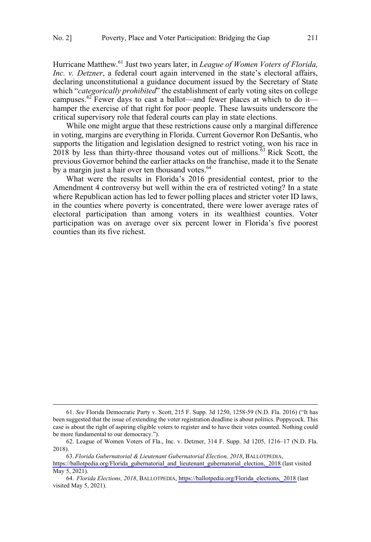$\overline{a}$ 

Hurricane Matthew.<sup>61</sup> Just two years later, in *League of Women Voters of Florida, Inc. v. Detzner*, a federal court again intervened in the state's electoral affairs, declaring unconstitutional a guidance document issued by the Secretary of State which "*categorically prohibited*" the establishment of early voting sites on college campuses.<sup>62</sup> Fewer days to cast a ballot—and fewer places at which to do it hamper the exercise of that right for poor people. These lawsuits underscore the critical supervisory role that federal courts can play in state elections.

While one might argue that these restrictions cause only a marginal difference in voting, margins are everything in Florida. Current Governor Ron DeSantis, who supports the litigation and legislation designed to restrict voting, won his race in  $2018$  by less than thirty-three thousand votes out of millions.<sup>63</sup> Rick Scott, the previous Governor behind the earlier attacks on the franchise, made it to the Senate by a margin just a hair over ten thousand votes.<sup>64</sup>

What were the results in Florida's 2016 presidential contest, prior to the Amendment 4 controversy but well within the era of restricted voting? In a state where Republican action has led to fewer polling places and stricter voter ID laws, in the counties where poverty is concentrated, there were lower average rates of electoral participation than among voters in its wealthiest counties. Voter participation was on average over six percent lower in Florida's five poorest counties than its five richest.

*Florida Gubernatorial & Lieutenant Gubernatorial Election, 2018*, BALLOTPEDIA, 63.

<sup>61.</sup> *See* Florida Democratic Party v. Scott, 215 F. Supp. 3d 1250, 1258-59 (N.D. Fla. 2016) ("It has been suggested that the issue of extending the voter registration deadline is about politics. Poppycock. This case is about the right of aspiring eligible voters to register and to have their votes counted. Nothing could be more fundamental to our democracy.").

<sup>62.</sup> League of Women Voters of Fla., Inc. v. Detzner, 314 F. Supp. 3d 1205, 1216–17 (N.D. Fla. 2018).

[https://ballotpedia.org/Florida\\_gubernatorial\\_and\\_lieutenant\\_gubernatorial\\_election,\\_2018](https://ballotpedia.org/Florida_gubernatorial_and_lieutenant_gubernatorial_election,_2018) (last visited May 5, 2021).

<sup>64.</sup> Florida Elections, 2018, BALLOTPEDIA, https://ballotpedia.org/Florida elections, 2018 (last visited May 5, 2021).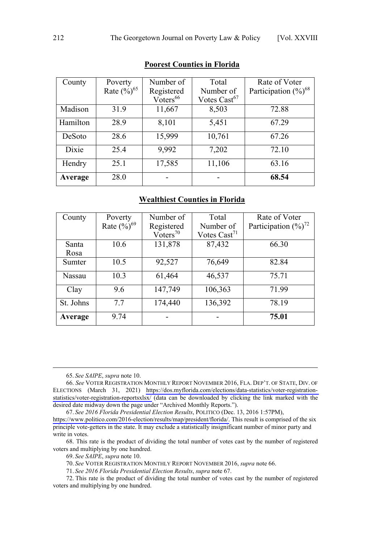| County   | Poverty                   | Number of                     | Total                    | Rate of Voter             |
|----------|---------------------------|-------------------------------|--------------------------|---------------------------|
|          | Rate $(\frac{9}{6})^{65}$ | Registered                    | Number of                | Participation $(\%)^{68}$ |
|          |                           | $V\bar{o}$ ters <sup>66</sup> | Votes Cast <sup>67</sup> |                           |
| Madison  | 31.9                      | 11,667                        | 8,503                    | 72.88                     |
| Hamilton | 28.9                      | 8,101                         | 5,451                    | 67.29                     |
| DeSoto   | 28.6                      | 15,999                        | 10,761                   | 67.26                     |
| Dixie    | 25.4                      | 9,992                         | 7,202                    | 72.10                     |
| Hendry   | 25.1                      | 17,585                        | 11,106                   | 63.16                     |
| Average  | 28.0                      |                               |                          | 68.54                     |

# **Poorest Counties in Florida**

# **Wealthiest Counties in Florida**

| County        | Poverty                   | Number of            | Total                    | Rate of Voter                      |
|---------------|---------------------------|----------------------|--------------------------|------------------------------------|
|               | Rate $(\frac{9}{0})^{69}$ | Registered           | Number of                | Participation $(\frac{9}{0})^{72}$ |
|               |                           | Voters <sup>70</sup> | Votes $\text{Cast}^{71}$ |                                    |
| Santa         | 10.6                      | 131,878              | 87,432                   | 66.30                              |
| Rosa          |                           |                      |                          |                                    |
| Sumter        | 10.5                      | 92,527               | 76,649                   | 82.84                              |
| <b>Nassau</b> | 10.3                      | 61,464               | 46,537                   | 75.71                              |
| Clay          | 9.6                       | 147,749              | 106,363                  | 71.99                              |
| St. Johns     | 7.7                       | 174,440              | 136,392                  | 78.19                              |
| Average       | 9.74                      |                      |                          | 75.01                              |

65. *See SAIPE*, *supra* note 10.

*See 2016 Florida Presidential Election Results*, POLITICO (Dec. 13, 2016 1:57PM), 67. [https://www.politico.com/2016-election/results/map/president/florida/.](https://www.politico.com/2016-election/results/map/president/florida/) This result is comprised of the six

principle vote-getters in the state. It may exclude a statistically insignificant number of minor party and write in votes.

68. This rate is the product of dividing the total number of votes cast by the number of registered voters and multiplying by one hundred.

69. *See SAIPE*, *supra* note 10.

70. *See* VOTER REGISTRATION MONTHLY REPORT NOVEMBER 2016, *supra* note 66.

71. *See 2016 Florida Presidential Election Results*, *supra* note 67.

72. This rate is the product of dividing the total number of votes cast by the number of registered voters and multiplying by one hundred.

*See* VOTER REGISTRATION MONTHLY REPORT NOVEMBER 2016, FLA. DEP'T. OF STATE, DIV. OF 66. ELECTIONS (March 31, 2021) [https://dos.myflorida.com/elections/data-statistics/voter-registration](https://dos.myflorida.com/elections/data-statistics/voter-registration-statistics/voter-registration-reportsxlsx/)[statistics/voter-registration-reportsxlsx/](https://dos.myflorida.com/elections/data-statistics/voter-registration-statistics/voter-registration-reportsxlsx/) (data can be downloaded by clicking the link marked with the desired date midway down the page under "Archived Monthly Reports.").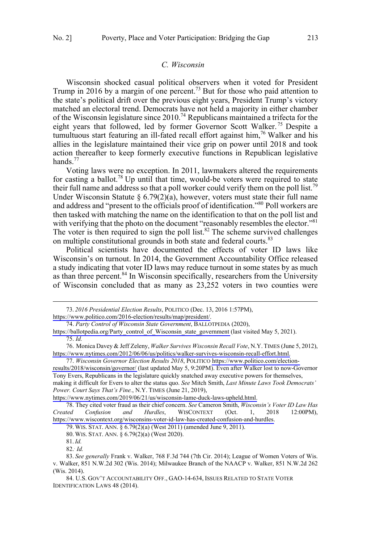#### *C. Wisconsin*

<span id="page-12-0"></span>Wisconsin shocked casual political observers when it voted for President Trump in 2016 by a margin of one percent.<sup>73</sup> But for those who paid attention to the state's political drift over the previous eight years, President Trump's victory matched an electoral trend. Democrats have not held a majority in either chamber of the Wisconsin legislature since  $2010<sup>74</sup>$  Republicans maintained a trifecta for the eight years that followed, led by former Governor Scott Walker.<sup>75</sup> Despite a tumultuous start featuring an ill-fated recall effort against him,<sup>76</sup> Walker and his allies in the legislature maintained their vice grip on power until 2018 and took action thereafter to keep formerly executive functions in Republican legislative hands. $^{77}$ 

Voting laws were no exception. In 2011, lawmakers altered the requirements for casting a ballot.<sup>78</sup> Up until that time, would-be voters were required to state their full name and address so that a poll worker could verify them on the poll list.<sup>79</sup> Under Wisconsin Statute § 6.79(2)(a), however, voters must state their full name and address and "present to the officials proof of identification."80 Poll workers are then tasked with matching the name on the identification to that on the poll list and with verifying that the photo on the document "reasonably resembles the elector."<sup>81</sup> The voter is then required to sign the poll list.<sup>82</sup> The scheme survived challenges on multiple constitutional grounds in both state and federal courts.<sup>83</sup>

Political scientists have documented the effects of voter ID laws like Wisconsin's on turnout. In 2014, the Government Accountability Office released a study indicating that voter ID laws may reduce turnout in some states by as much as than three percent.<sup>84</sup> In Wisconsin specifically, researchers from the University of Wisconsin concluded that as many as 23,252 voters in two counties were

 $\overline{a}$ 

*2016 Presidential Election Results*, POLITICO (Dec. 13, 2016 1:57PM), 73.

[https://www.politico.com/2016-election/results/map/president/.](https://www.politico.com/2016-election/results/map/president/)

*Party Control of Wisconsin State Government*, BALLOTPEDIA (2020), 74.

[https://ballotpedia.org/Party\\_control\\_of\\_Wisconsin\\_state\\_government](https://ballotpedia.org/Party_control_of_Wisconsin_state_government) (last visited May 5, 2021). 75. *Id.*

<sup>76.</sup> Monica Davey & Jeff Zeleny, *Walker Survives Wisconsin Recall Vote*, N.Y. TIMES (June 5, 2012), [https://www.nytimes.com/2012/06/06/us/politics/walker-survives-wisconsin-recall-effort.html.](https://www.nytimes.com/2012/06/06/us/politics/walker-survives-wisconsin-recall-effort.html)

*Wisconsin Governor Election Results 2018*, POLITICO [https://www.politico.com/election-](https://www.politico.com/election-results/2018/wisconsin/governor/)77. [results/2018/wisconsin/governor/](https://www.politico.com/election-results/2018/wisconsin/governor/) (last updated May 5, 9:20PM). Even after Walker lost to now-Governor Tony Evers, Republicans in the legislature quickly snatched away executive powers for themselves, making it difficult for Evers to alter the status quo. *See* Mitch Smith, *Last Minute Laws Took Democrats' Power. Court Says That's Fine.*, N.Y. TIMES (June 21, 2019),

[https://www.nytimes.com/2019/06/21/us/wisconsin-lame-duck-laws-upheld.html.](https://www.nytimes.com/2019/06/21/us/wisconsin-lame-duck-laws-upheld.html)

<sup>78.</sup> They cited voter fraud as their chief concern. *See* Cameron Smith, *Wisconsin's Voter ID Law Has Created Confusion and Hurdles*, WISCONTEXT (Oct. 1, 2018 12:00PM), [https://www.wiscontext.org/wisconsins-voter-id-law-has-created-confusion-and-hurdles.](https://www.wiscontext.org/wisconsins-voter-id-law-has-created-confusion-and-hurdles)

<sup>79.</sup> WIS. STAT. ANN. § 6.79(2)(a) (West 2011) (amended June 9, 2011).

<sup>80.</sup> WIS. STAT. ANN. § 6.79(2)(a) (West 2020).

<sup>81.</sup>*Id.*

<sup>82..</sup> *Id.*

<sup>83.</sup> *See generally* Frank v. Walker, 768 F.3d 744 (7th Cir. 2014); League of Women Voters of Wis. v. Walker, 851 N.W.2d 302 (Wis. 2014); Milwaukee Branch of the NAACP v. Walker, 851 N.W.2d 262 (Wis. 2014).

<sup>84.</sup> U.S. GOV'T ACCOUNTABILITY OFF., GAO-14-634, ISSUES RELATED TO STATE VOTER IDENTIFICATION LAWS 48 (2014).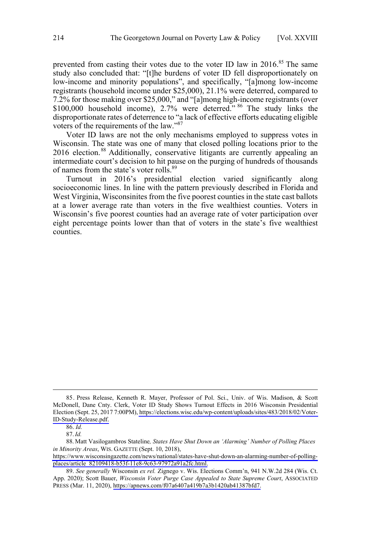prevented from casting their votes due to the voter ID law in  $2016$ .<sup>85</sup> The same study also concluded that: "[t]he burdens of voter ID fell disproportionately on low-income and minority populations", and specifically, "[a]mong low-income registrants (household income under \$25,000), 21.1% were deterred, compared to 7.2% for those making over \$25,000," and "[a]mong high-income registrants (over \$100,000 household income), 2.7% were deterred." <sup>86</sup> The study links the disproportionate rates of deterrence to "a lack of effective efforts educating eligible voters of the requirements of the law."87

Voter ID laws are not the only mechanisms employed to suppress votes in Wisconsin. The state was one of many that closed polling locations prior to the 2016 election.<sup>88</sup> Additionally, conservative litigants are currently appealing an intermediate court's decision to hit pause on the purging of hundreds of thousands of names from the state's voter rolls.<sup>89</sup>

Turnout in 2016's presidential election varied significantly along socioeconomic lines. In line with the pattern previously described in Florida and West Virginia, Wisconsinites from the five poorest counties in the state cast ballots at a lower average rate than voters in the five wealthiest counties. Voters in Wisconsin's five poorest counties had an average rate of voter participation over eight percentage points lower than that of voters in the state's five wealthiest counties.

<sup>85.</sup> Press Release, Kenneth R. Mayer, Professor of Pol. Sci., Univ. of Wis. Madison, & Scott McDonell, Dane Cnty. Clerk, Voter ID Study Shows Turnout Effects in 2016 Wisconsin Presidential Election (Sept. 25, 2017 7:00PM), [https://elections.wisc.edu/wp-content/uploads/sites/483/2018/02/Voter-](https://elections.wisc.edu/wp-content/uploads/sites/483/2018/02/Voter-ID-Study-Release.pdf)[ID-Study-Release.pdf.](https://elections.wisc.edu/wp-content/uploads/sites/483/2018/02/Voter-ID-Study-Release.pdf)

<sup>86.</sup> *Id.*

<sup>87.</sup>*Id.*

<sup>88.</sup> Matt Vasilogambros Stateline*, States Have Shut Down an 'Alarming' Number of Polling Places in Minority Areas*, WIS. GAZETTE (Sept. 10, 2018),

[https://www.wisconsingazette.com/news/national/states-have-shut-down-an-alarming-number-of-polling](https://www.wisconsingazette.com/news/national/states-have-shut-down-an-alarming-number-of-polling-places/article_82109418-b53f-11e8-9c63-97972a91a2fc.html)[places/article\\_82109418-b53f-11e8-9c63-97972a91a2fc.html.](https://www.wisconsingazette.com/news/national/states-have-shut-down-an-alarming-number-of-polling-places/article_82109418-b53f-11e8-9c63-97972a91a2fc.html)

*See generally* Wisconsin *ex rel.* Zignego v. Wis. Elections Comm'n, 941 N.W.2d 284 (Wis. Ct. 89. App. 2020); Scott Bauer, *Wisconsin Voter Purge Case Appealed to State Supreme Court*, ASSOCIATED PRESS (Mar. 11, 2020), [https://apnews.com/f07a6407a419b7a3b1420ab41387bfd7.](https://apnews.com/f07a6407a419b7a3b1420ab41387bfd7)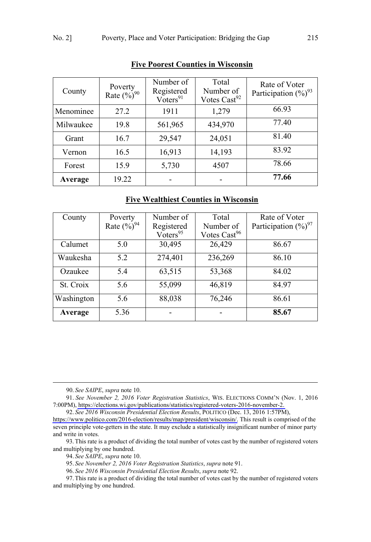| County    | Poverty<br>Rate $(\frac{9}{0})^{90}$ | Number of<br>Registered<br>$V\check{o}$ ters <sup>91</sup> | Total<br>Number of<br>Votes Cast <sup>92</sup> | Rate of Voter<br>Participation $(\%)^{93}$ |
|-----------|--------------------------------------|------------------------------------------------------------|------------------------------------------------|--------------------------------------------|
| Menominee | 27.2                                 | 1911                                                       | 1,279                                          | 66.93                                      |
| Milwaukee | 19.8                                 | 561,965                                                    | 434,970                                        | 77.40                                      |
| Grant     | 16.7                                 | 29,547                                                     | 24,051                                         | 81.40                                      |
| Vernon    | 16.5                                 | 16,913                                                     | 14,193                                         | 83.92                                      |
| Forest    | 15.9                                 | 5,730                                                      | 4507                                           | 78.66                                      |
| Average   | 19.22                                |                                                            |                                                | 77.66                                      |

# **Five Poorest Counties in Wisconsin**

# **Five Wealthiest Counties in Wisconsin**

| County     | Poverty                   | Number of            | Total                    | Rate of Voter             |
|------------|---------------------------|----------------------|--------------------------|---------------------------|
|            | Rate $(\frac{9}{0})^{94}$ | Registered           | Number of                | Participation $(\%)^{97}$ |
|            |                           | Voters <sup>95</sup> | Votes Cast <sup>96</sup> |                           |
| Calumet    | 5.0                       | 30,495               | 26,429                   | 86.67                     |
| Waukesha   | 5.2                       | 274,401              | 236,269                  | 86.10                     |
| Ozaukee    | 5.4                       | 63,515               | 53,368                   | 84.02                     |
| St. Croix  | 5.6                       | 55,099               | 46,819                   | 84.97                     |
| Washington | 5.6                       | 88,038               | 76,246                   | 86.61                     |
| Average    | 5.36                      |                      |                          | 85.67                     |

90. *See SAIPE*, *supra* note 10.

*See November 2, 2016 Voter Registration Statistics*, WIS. ELECTIONS COMM'N (Nov. 1, 2016 91. 7:00PM), [https://elections.wi.gov/publications/statistics/registered-voters-2016-november-2.](https://elections.wi.gov/publications/statistics/registered-voters-2016-november-2) 

*See 2016 Wisconsin Presidential Election Results*, POLITICO (Dec. 13, 2016 1:57PM), 92.

93.This rate is a product of dividing the total number of votes cast by the number of registered voters and multiplying by one hundred.

94. *See SAIPE*, *supra* note 10.

95. *See November 2, 2016 Voter Registration Statistics*, *supra* note 91.

96. *See 2016 Wisconsin Presidential Election Results*, *supra* note 92.

97.This rate is a product of dividing the total number of votes cast by the number of registered voters and multiplying by one hundred.

[https://www.politico.com/2016-election/results/map/president/wisconsin/.](https://www.politico.com/2016-election/results/map/president/wisconsin/) This result is comprised of the seven principle vote-getters in the state. It may exclude a statistically insignificant number of minor party and write in votes.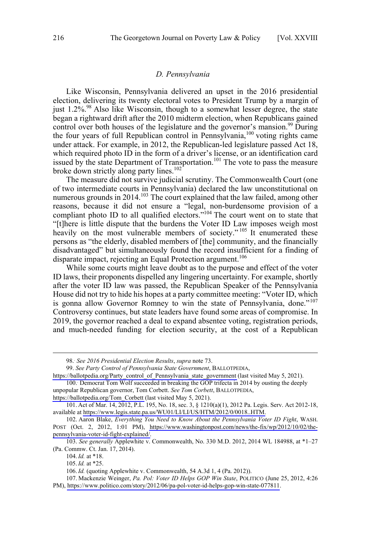#### *D. Pennsylvania*

<span id="page-15-0"></span>Like Wisconsin, Pennsylvania delivered an upset in the 2016 presidential election, delivering its twenty electoral votes to President Trump by a margin of just 1.2%.<sup>98</sup> Also like Wisconsin, though to a somewhat lesser degree, the state began a rightward drift after the 2010 midterm election, when Republicans gained control over both houses of the legislature and the governor's mansion.<sup>99</sup> During the four years of full Republican control in Pennsylvania,<sup>100</sup> voting rights came under attack. For example, in 2012, the Republican-led legislature passed Act 18, which required photo ID in the form of a driver's license, or an identification card issued by the state Department of Transportation.<sup>101</sup> The vote to pass the measure broke down strictly along party lines.<sup>102</sup>

The measure did not survive judicial scrutiny. The Commonwealth Court (one of two intermediate courts in Pennsylvania) declared the law unconstitutional on numerous grounds in  $2014$ <sup> $103$ </sup>. The court explained that the law failed, among other reasons, because it did not ensure a "legal, non-burdensome provision of a compliant photo ID to all qualified electors."<sup>104</sup> The court went on to state that "[t]here is little dispute that the burdens the Voter ID Law imposes weigh most heavily on the most vulnerable members of society."<sup>105</sup> It enumerated these persons as "the elderly, disabled members of [the] community, and the financially disadvantaged" but simultaneously found the record insufficient for a finding of disparate impact, rejecting an Equal Protection argument.<sup>106</sup>

While some courts might leave doubt as to the purpose and effect of the voter ID laws, their proponents dispelled any lingering uncertainty. For example, shortly after the voter ID law was passed, the Republican Speaker of the Pennsylvania House did not try to hide his hopes at a party committee meeting: "Voter ID, which is gonna allow Governor Romney to win the state of Pennsylvania, done."<sup>107</sup> Controversy continues, but state leaders have found some areas of compromise. In 2019, the governor reached a deal to expand absentee voting, registration periods, and much-needed funding for election security, at the cost of a Republican

 <sup>98..</sup> *See 2016 Presidential Election Results*, *supra* note 73.

*See Party Control of Pennsylvania State Government*, BALLOTPEDIA, 99.

[https://ballotpedia.org/Party\\_control\\_of\\_Pennsylvania\\_state\\_government](https://ballotpedia.org/Party_control_of_Pennsylvania_state_government) (last visited May 5, 2021). 100. Democrat Tom Wolf succeeded in breaking the GOP trifecta in 2014 by ousting the deeply

unpopular Republican governor, Tom Corbett. *See Tom Corbett*, BALLOTPEDIA,

[https://ballotpedia.org/Tom\\_Corbett](https://ballotpedia.org/Tom_Corbett) (last visited May 5, 2021).

<sup>101.</sup> Act of Mar. 14, 2012, P.L. 195, No. 18, sec. 3, § 1210(a)(1), 2012 Pa. Legis. Serv. Act 2012-18, available at [https://www.legis.state.pa.us/WU01/LI/LI/US/HTM/2012/0/0018..HTM.](https://www.legis.state.pa.us/WU01/LI/LI/US/HTM/2012/0/0018..HTM)

<sup>102.</sup> Aaron Blake, Everything You Need to Know About the Pennsylvania Voter ID Fight, WASH. POST (Oct. 2, 2012, 1:01 PM), [https://www.washingtonpost.com/news/the-fix/wp/2012/10/02/the](https://www.washingtonpost.com/news/the-fix/wp/2012/10/02/the-pennsylvania-voter-id-fight-explained/)[pennsylvania-voter-id-fight-explained/.](https://www.washingtonpost.com/news/the-fix/wp/2012/10/02/the-pennsylvania-voter-id-fight-explained/)

<sup>103.</sup> *See generally* Applewhite v. Commonwealth, No. 330 M.D. 2012, 2014 WL 184988, at \*1–27 (Pa. Commw. Ct. Jan. 17, 2014).

<sup>104.</sup>*Id.* at \*18.

<sup>105.</sup>*Id.* at \*25.

<sup>106.</sup>*Id.* (quoting Applewhite v. Commonwealth, 54 A.3d 1, 4 (Pa. 2012)).

Mackenzie Weinger, *Pa. Pol: Voter ID Helps GOP Win State*, POLITICO (June 25, 2012, 4:26 107. PM),<https://www.politico.com/story/2012/06/pa-pol-voter-id-helps-gop-win-state-077811>.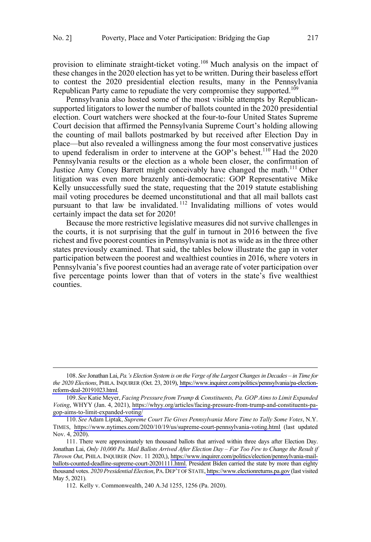$\overline{a}$ 

provision to eliminate straight-ticket voting.<sup>108</sup> Much analysis on the impact of these changes in the 2020 election has yet to be written. During their baseless effort to contest the 2020 presidential election results, many in the Pennsylvania Republican Party came to repudiate the very compromise they supported.<sup>109</sup>

Pennsylvania also hosted some of the most visible attempts by Republicansupported litigators to lower the number of ballots counted in the 2020 presidential election. Court watchers were shocked at the four-to-four United States Supreme Court decision that affirmed the Pennsylvania Supreme Court's holding allowing the counting of mail ballots postmarked by but received after Election Day in place—but also revealed a willingness among the four most conservative justices to upend federalism in order to intervene at the GOP's behest.<sup>110</sup> Had the 2020 Pennsylvania results or the election as a whole been closer, the confirmation of Justice Amy Coney Barrett might conceivably have changed the math.<sup>111</sup> Other litigation was even more brazenly anti-democratic: GOP Representative Mike Kelly unsuccessfully sued the state, requesting that the 2019 statute establishing mail voting procedures be deemed unconstitutional and that all mail ballots cast pursuant to that law be invalidated. <sup>112</sup> Invalidating millions of votes would certainly impact the data set for 2020!

Because the more restrictive legislative measures did not survive challenges in the courts, it is not surprising that the gulf in turnout in 2016 between the five richest and five poorest counties in Pennsylvania is not as wide as in the three other states previously examined. That said, the tables below illustrate the gap in voter participation between the poorest and wealthiest counties in 2016, where voters in Pennsylvania's five poorest counties had an average rate of voter participation over five percentage points lower than that of voters in the state's five wealthiest counties.

*See* Jonathan Lai, *Pa.'s Election System is on the Verge of the Largest Changes in Decades – in Time for*  108. *the 2020 Elections*, PHILA. INQUIRER (Oct. 23, 2019), [https://www.inquirer.com/politics/pennsylvania/pa-election](https://www.inquirer.com/politics/pennsylvania/pa-election-reform-deal-20191023.html)[reform-deal-20191023.html.](https://www.inquirer.com/politics/pennsylvania/pa-election-reform-deal-20191023.html)

*See* Katie Meyer, *Facing Pressure from Trump & Constituents, Pa. GOP Aims to Limit Expanded*  109. *Voting*, WHYY (Jan. 4, 2021), [https://whyy.org/articles/facing-pressure-from-trump-and-constituents-pa](https://whyy.org/articles/facing-pressure-from-trump-and-constituents-pa-gop-aims-to-limit-expanded-voting/)[gop-aims-to-limit-expanded-voting/](https://whyy.org/articles/facing-pressure-from-trump-and-constituents-pa-gop-aims-to-limit-expanded-voting/)

*See* Adam Liptak, *Supreme Court Tie Gives Pennsylvania More Time to Tally Some Votes*, N.Y. 110. TIMES, <https://www.nytimes.com/2020/10/19/us/supreme-court-pennsylvania-voting.html>(last updated Nov. 4, 2020).

<sup>111.</sup> There were approximately ten thousand ballots that arrived within three days after Election Day. Jonathan Lai, *Only 10,000 Pa. Mail Ballots Arrived After Election Day – Far Too Few to Change the Result if Thrown Out*, PHILA. INQUIRER (Nov. 11 2020,), [https://www.inquirer.com/politics/election/pennsylvania-mail](https://www.inquirer.com/politics/election/pennsylvania-mail-ballots-counted-deadline-supreme-court-20201111.html)[ballots-counted-deadline-supreme-court-20201111.html.](https://www.inquirer.com/politics/election/pennsylvania-mail-ballots-counted-deadline-supreme-court-20201111.html) President Biden carried the state by more than eighty thousand votes. *2020 Presidential Election*, PA.DEP'T OF STATE,<https://www.electionreturns.pa.gov>(last visited May 5, 2021).

<sup>112.</sup> Kelly v. Commonwealth, 240 A.3d 1255, 1256 (Pa. 2020).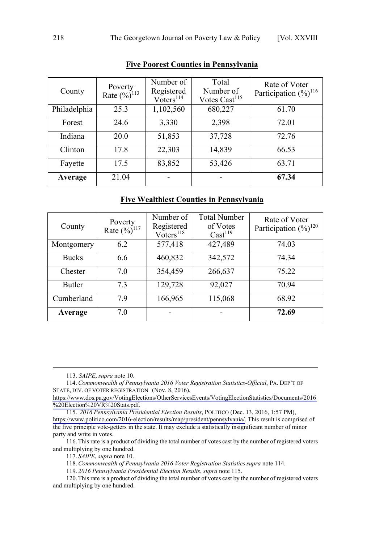| County       | Poverty<br>Rate $(\frac{9}{6})^{113}$ | Number of<br>Registered<br>Voters <sup>114</sup> | Total<br>Number of<br>Votes Cast <sup>115</sup> | Rate of Voter<br>Participation $(\frac{9}{0})^{116}$ |
|--------------|---------------------------------------|--------------------------------------------------|-------------------------------------------------|------------------------------------------------------|
| Philadelphia | 25.3                                  | 1,102,560                                        | 680,227                                         | 61.70                                                |
| Forest       | 24.6                                  | 3,330                                            | 2,398                                           | 72.01                                                |
| Indiana      | 20.0                                  | 51,853                                           | 37,728                                          | 72.76                                                |
| Clinton      | 17.8                                  | 22,303                                           | 14,839                                          | 66.53                                                |
| Fayette      | 17.5                                  | 83,852                                           | 53,426                                          | 63.71                                                |
| Average      | 21.04                                 |                                                  |                                                 | 67.34                                                |

# **Five Poorest Counties in Pennsylvania**

# **Five Wealthiest Counties in Pennsylvania**

| County       | Poverty<br>Rate $(\frac{9}{6})^{117}$ | Number of<br>Registered<br>Voters <sup>118</sup> | <b>Total Number</b><br>of Votes<br>Cast <sup>119</sup> | Rate of Voter<br>Participation $(\frac{9}{6})^{120}$ |
|--------------|---------------------------------------|--------------------------------------------------|--------------------------------------------------------|------------------------------------------------------|
| Montgomery   | 6.2                                   | 577,418                                          | 427,489                                                | 74.03                                                |
| <b>Bucks</b> | 6.6                                   | 460,832                                          | 342,572                                                | 74.34                                                |
| Chester      | 7.0                                   | 354,459                                          | 266,637                                                | 75.22                                                |
| Butler       | 7.3                                   | 129,728                                          | 92,027                                                 | 70.94                                                |
| Cumberland   | 7.9                                   | 166,965                                          | 115,068                                                | 68.92                                                |
| Average      | 7.0                                   |                                                  |                                                        | 72.69                                                |

113. *SAIPE*, *supra* note 10.

 $\overline{a}$ 

*Commonwealth of Pennsylvania 2016 Voter Registration Statistics-Official*, PA. DEP'T OF 114. STATE, DIV. OF VOTER REGISTRATION (Nov. 8, 2016),

[https://www.dos.pa.gov/VotingElections/OtherServicesEvents/VotingElectionStatistics/Documents/2016](https://www.dos.pa.gov/VotingElections/OtherServicesEvents/VotingElectionStatistics/Documents/2016%20Election%20VR%20Stats.pdf) [%20Election%20VR%20Stats.pdf.](https://www.dos.pa.gov/VotingElections/OtherServicesEvents/VotingElectionStatistics/Documents/2016%20Election%20VR%20Stats.pdf)

*2016 Pennsylvania Presidential Election Results*, POLITICO (Dec. 13, 2016, 1:57 PM), 115. [https://www.politico.com/2016-election/results/map/president/pennsylvania/.](https://www.politico.com/2016-election/results/map/president/pennsylvania/) This result is comprised of the five principle vote-getters in the state. It may exclude a statistically insignificant number of minor party and write in votes.

116.This rate is a product of dividing the total number of votes cast by the number of registered voters and multiplying by one hundred.

117. *SAIPE*, *supra* note 10.

118.*Commonwealth of Pennsylvania 2016 Voter Registration Statistics supra* note 114.

119. *2016 Pennsylvania Presidential Election Results*, *supra* note 115.

120.This rate is a product of dividing the total number of votes cast by the number of registered voters and multiplying by one hundred.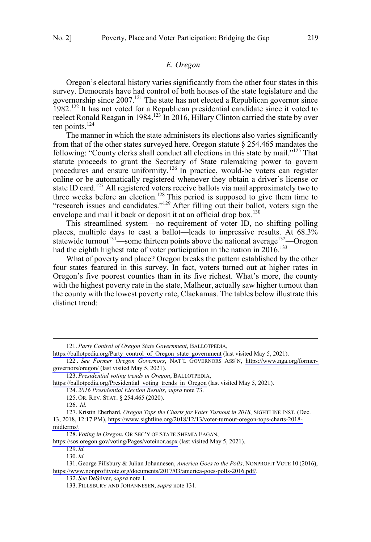## *E. Oregon*

<span id="page-18-0"></span>Oregon's electoral history varies significantly from the other four states in this survey. Democrats have had control of both houses of the state legislature and the governorship since 2007.<sup>121</sup> The state has not elected a Republican governor since 1982.<sup>122</sup> It has not voted for a Republican presidential candidate since it voted to reelect Ronald Reagan in 1984.<sup>123</sup> In 2016, Hillary Clinton carried the state by over ten points. $124$ 

The manner in which the state administers its elections also varies significantly from that of the other states surveyed here. Oregon statute § 254.465 mandates the following: "County clerks shall conduct all elections in this state by mail."<sup>125</sup> That statute proceeds to grant the Secretary of State rulemaking power to govern procedures and ensure uniformity.<sup>126</sup> In practice, would-be voters can register online or be automatically registered whenever they obtain a driver's license or state ID card.<sup>127</sup> All registered voters receive ballots via mail approximately two to three weeks before an election.<sup>128</sup> This period is supposed to give them time to "research issues and candidates."<sup>129</sup> After filling out their ballot, voters sign the envelope and mail it back or deposit it at an official drop box.<sup>130</sup>

This streamlined system—no requirement of voter ID, no shifting polling places, multiple days to cast a ballot—leads to impressive results. At 68.3% statewide turnout<sup>131</sup>—some thirteen points above the national average<sup>132</sup>—Oregon had the eighth highest rate of voter participation in the nation in  $2016$ <sup>133</sup>

What of poverty and place? Oregon breaks the pattern established by the other four states featured in this survey. In fact, voters turned out at higher rates in Oregon's five poorest counties than in its five richest. What's more, the county with the highest poverty rate in the state, Malheur, actually saw higher turnout than the county with the lowest poverty rate, Clackamas. The tables below illustrate this distinct trend:

 $\overline{a}$ 

128. Voting in Oregon, OR SEC'Y OF STATE SHEMIA FAGAN,

<https://sos.oregon.gov/voting/Pages/voteinor.aspx>(last visited May 5, 2021).

132. *See* DeSilver, *supra* note 1.

*Party Control of Oregon State Government*, BALLOTPEDIA, 121.

[https://ballotpedia.org/Party\\_control\\_of\\_Oregon\\_state\\_government](https://ballotpedia.org/Party_control_of_Oregon_state_government) (last visited May 5, 2021).

*See Former Oregon Governors*, NAT'L GOVERNORS ASS'N, [https://www.nga.org/former-](https://www.nga.org/former-governors/oregon/)122 . [governors/oregon/](https://www.nga.org/former-governors/oregon/) (last visited May 5, 2021).

*Presidential voting trends in Oregon*, BALLOTPEDIA, 123.

[https://ballotpedia.org/Presidential\\_voting\\_trends\\_in\\_Oregon](https://ballotpedia.org/Presidential_voting_trends_in_Oregon) (last visited May 5, 2021).

<sup>124.</sup> *2016 Presidential Election Results*, *supra* note 73.

<sup>125.</sup> OR. REV. STAT. § 254.465 (2020).

<sup>126.</sup> *Id.*

<sup>127.</sup> Kristin Eberhard, *Oregon Tops the Charts for Voter Turnout in 2018*, SIGHTLINE INST. (Dec. 13, 2018, 12:17 PM), [https://www.sightline.org/2018/12/13/voter-turnout-oregon-tops-charts-2018](https://www.sightline.org/2018/12/13/voter-turnout-oregon-tops-charts-2018-midterms/) [midterms/.](https://www.sightline.org/2018/12/13/voter-turnout-oregon-tops-charts-2018-midterms/)

<sup>129.</sup>*Id.*

<sup>130.</sup>*Id.*

<sup>131.</sup> George Pillsbury & Julian Johannesen, *America Goes to the Polls*, NONPROFIT VOTE 10 (2016), [https://www.nonprofitvote.org/documents/2017/03/america-goes-polls-2016.pdf/.](https://www.nonprofitvote.org/documents/2017/03/america-goes-polls-2016.pdf/)

<sup>133.</sup> PILLSBURY AND JOHANNESEN, *supra* note 131.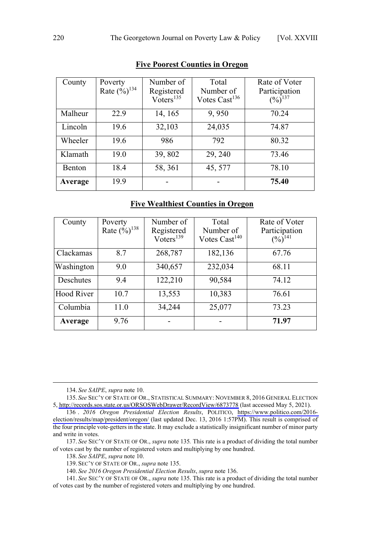| County        | Poverty<br>Rate $(\frac{6}{6})^{134}$ | Number of<br>Registered<br>Voters <sup>135</sup> | Total<br>Number of<br>Votes Cast $^{136}$ | Rate of Voter<br>Participation<br>$(\frac{9}{6})^{137}$ |
|---------------|---------------------------------------|--------------------------------------------------|-------------------------------------------|---------------------------------------------------------|
| Malheur       | 22.9                                  | 14, 165                                          | 9,950                                     | 70.24                                                   |
| Lincoln       | 19.6                                  | 32,103                                           | 24,035                                    | 74.87                                                   |
| Wheeler       | 19.6                                  | 986                                              | 792                                       | 80.32                                                   |
| Klamath       | 19.0                                  | 39,802                                           | 29, 240                                   | 73.46                                                   |
| <b>Benton</b> | 18.4                                  | 58, 361                                          | 45, 577                                   | 78.10                                                   |
| Average       | 19.9                                  |                                                  |                                           | 75.40                                                   |

# **Five Poorest Counties in Oregon**

# **Five Wealthiest Counties in Oregon**

| County            | Poverty                    | Number of               | Total                     | Rate of Voter         |
|-------------------|----------------------------|-------------------------|---------------------------|-----------------------|
|                   | Rate $(\frac{6}{6})^{138}$ | Registered              | Number of                 | Participation         |
|                   |                            | $Voters$ <sup>139</sup> | Votes Cast <sup>140</sup> | $(\frac{9}{6})^{141}$ |
| Clackamas         | 8.7                        | 268,787                 | 182,136                   | 67.76                 |
| Washington        | 9.0                        | 340,657                 | 232,034                   | 68.11                 |
| Deschutes         | 9.4                        | 122,210                 | 90,584                    | 74.12                 |
| <b>Hood River</b> | 10.7                       | 13,553                  | 10,383                    | 76.61                 |
| Columbia          | 11.0                       | 34,244                  | 25,077                    | 73.23                 |
| Average           | 9.76                       |                         |                           | 71.97                 |

134. *See SAIPE*, *supra* note 10.

135. See SEC'Y OF STATE OF OR., STATISTICAL SUMMARY: NOVEMBER 8, 2016 GENERAL ELECTION 5,<http://records.sos.state.or.us/ORSOSWebDrawer/RecordView/6873778>(last accessed May 5, 2021).

140. *See 2016 Oregon Presidential Election Results*, *supra* note 136.

141. *See* SEC'Y OF STATE OF OR., *supra* note 135. This rate is a product of dividing the total number of votes cast by the number of registered voters and multiplying by one hundred.

*<sup>2016</sup> Oregon Presidential Election Results*, POLITICO, [https://www.politico.com/2016-](https://www.politico.com/2016-election/results/map/president/oregon/) 136 . [election/results/map/president/oregon/](https://www.politico.com/2016-election/results/map/president/oregon/) (last updated Dec. 13, 2016 1:57PM). This result is comprised of the four principle vote-getters in the state. It may exclude a statistically insignificant number of minor party and write in votes.

<sup>137.</sup> *See* SEC'Y OF STATE OF OR., *supra* note 135*.* This rate is a product of dividing the total number of votes cast by the number of registered voters and multiplying by one hundred.

<sup>138.</sup> *See SAIPE*, *supra* note 10.

<sup>139.</sup> SEC'Y OF STATE OF OR., *supra* note 135.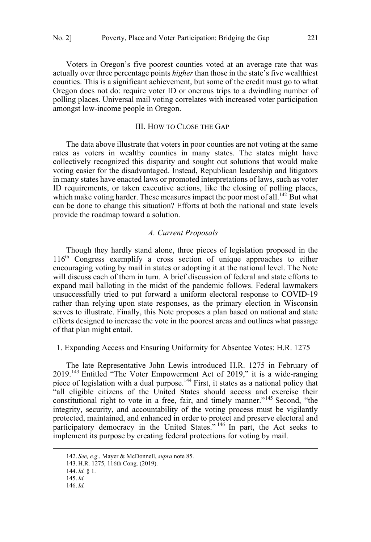<span id="page-20-0"></span>Voters in Oregon's five poorest counties voted at an average rate that was actually over three percentage points *higher* than those in the state's five wealthiest counties. This is a significant achievement, but some of the credit must go to what Oregon does not do: require voter ID or onerous trips to a dwindling number of polling places. Universal mail voting correlates with increased voter participation amongst low-income people in Oregon.

# III. HOW TO CLOSE THE GAP

The data above illustrate that voters in poor counties are not voting at the same rates as voters in wealthy counties in many states. The states might have collectively recognized this disparity and sought out solutions that would make voting easier for the disadvantaged. Instead, Republican leadership and litigators in many states have enacted laws or promoted interpretations of laws, such as voter ID requirements, or taken executive actions, like the closing of polling places, which make voting harder. These measures impact the poor most of all.<sup>142</sup> But what can be done to change this situation? Efforts at both the national and state levels provide the roadmap toward a solution.

#### *A. Current Proposals*

Though they hardly stand alone, three pieces of legislation proposed in the  $116<sup>th</sup>$  Congress exemplify a cross section of unique approaches to either encouraging voting by mail in states or adopting it at the national level. The Note will discuss each of them in turn. A brief discussion of federal and state efforts to expand mail balloting in the midst of the pandemic follows. Federal lawmakers unsuccessfully tried to put forward a uniform electoral response to COVID-19 rather than relying upon state responses, as the primary election in Wisconsin serves to illustrate. Finally, this Note proposes a plan based on national and state efforts designed to increase the vote in the poorest areas and outlines what passage of that plan might entail.

1. Expanding Access and Ensuring Uniformity for Absentee Votes: H.R. 1275

The late Representative John Lewis introduced H.R. 1275 in February of 2019.<sup>143</sup> Entitled "The Voter Empowerment Act of 2019," it is a wide-ranging piece of legislation with a dual purpose.<sup>144</sup> First, it states as a national policy that "all eligible citizens of the United States should access and exercise their constitutional right to vote in a free, fair, and timely manner."<sup>145</sup> Second, "the integrity, security, and accountability of the voting process must be vigilantly protected, maintained, and enhanced in order to protect and preserve electoral and participatory democracy in the United States."<sup>146</sup> In part, the Act seeks to implement its purpose by creating federal protections for voting by mail.

 <sup>142.</sup> *See, e.g.*, Mayer & McDonnell, *supra* note 85.

<sup>143.</sup> H.R. 1275, 116th Cong. (2019).

<sup>144.</sup>*Id.* § 1.

<sup>145.</sup>*Id.*

<sup>146.</sup>*Id.*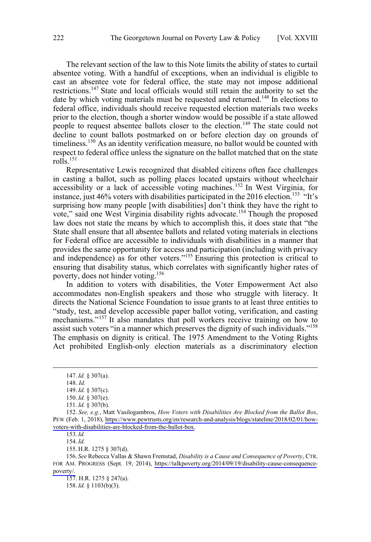The relevant section of the law to this Note limits the ability of states to curtail absentee voting. With a handful of exceptions, when an individual is eligible to cast an absentee vote for federal office, the state may not impose additional restrictions.<sup>147</sup> State and local officials would still retain the authority to set the date by which voting materials must be requested and returned.<sup>148</sup> In elections to federal office, individuals should receive requested election materials two weeks prior to the election, though a shorter window would be possible if a state allowed people to request absentee ballots closer to the election.<sup>149</sup> The state could not decline to count ballots postmarked on or before election day on grounds of timeliness.<sup>150</sup> As an identity verification measure, no ballot would be counted with respect to federal office unless the signature on the ballot matched that on the state rolls.<sup>151</sup>

Representative Lewis recognized that disabled citizens often face challenges in casting a ballot, such as polling places located upstairs without wheelchair accessibility or a lack of accessible voting machines.<sup>152</sup> In West Virginia, for instance, just 46% voters with disabilities participated in the 2016 election.<sup>153</sup> "It's surprising how many people [with disabilities] don't think they have the right to vote," said one West Virginia disability rights advocate.<sup>154</sup> Though the proposed law does not state the means by which to accomplish this, it does state that "the State shall ensure that all absentee ballots and related voting materials in elections for Federal office are accessible to individuals with disabilities in a manner that provides the same opportunity for access and participation (including with privacy and independence) as for other voters."<sup>155</sup> Ensuring this protection is critical to ensuring that disability status, which correlates with significantly higher rates of poverty, does not hinder voting.<sup>156</sup>

In addition to voters with disabilities, the Voter Empowerment Act also accommodates non-English speakers and those who struggle with literacy. It directs the National Science Foundation to issue grants to at least three entities to "study, test, and develop accessible paper ballot voting, verification, and casting mechanisms."<sup>157</sup> It also mandates that poll workers receive training on how to assist such voters "in a manner which preserves the dignity of such individuals."<sup>158</sup> The emphasis on dignity is critical. The 1975 Amendment to the Voting Rights Act prohibited English-only election materials as a discriminatory election

 $\overline{a}$ 

153.*Id.*

154.*Id.*

155. H.R. 1275 § 307(d).

*See* Rebecca Vallas & Shawn Fremstad, *Disability is a Cause and Consequence of Poverty*, CTR. 156. FOR AM. PROGRESS (Sept. 19, 2014), [https://talkpoverty.org/2014/09/19/disability-cause-consequence](https://talkpoverty.org/2014/09/19/disability-cause-consequence-poverty/)[poverty/.](https://talkpoverty.org/2014/09/19/disability-cause-consequence-poverty/)

157. H.R. 1275 § 247(a).

158.*Id.* § 1103(b)(3).

 <sup>147.</sup>*Id.* § 307(a).

<sup>148.</sup> *Id.*

<sup>149.</sup>*Id.* § 307(c).

<sup>150.</sup>*Id.* § 307(e).

<sup>151.</sup>*Id.* § 307(b).

*See, e.g.*, Matt Vasilogambros, *How Voters with Disabilities Are Blocked from the Ballot Box*, 152. PEW (Feb. 1, 2018), [https://www.pewtrusts.org/en/research-and-analysis/blogs/stateline/2018/02/01/how](https://www.pewtrusts.org/en/research-and-analysis/blogs/stateline/2018/02/01/how-voters-with-disabilities-are-blocked-from-the-ballot-box)[voters-with-disabilities-are-blocked-from-the-ballot-box.](https://www.pewtrusts.org/en/research-and-analysis/blogs/stateline/2018/02/01/how-voters-with-disabilities-are-blocked-from-the-ballot-box)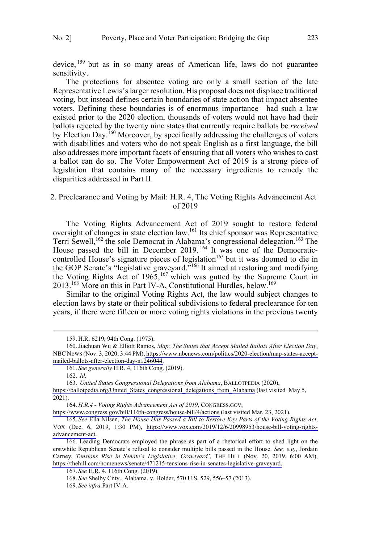<span id="page-22-0"></span>device, <sup>159</sup> but as in so many areas of American life, laws do not guarantee sensitivity.

The protections for absentee voting are only a small section of the late Representative Lewis's larger resolution. His proposal does not displace traditional voting, but instead defines certain boundaries of state action that impact absentee voters. Defining these boundaries is of enormous importance—had such a law existed prior to the 2020 election, thousands of voters would not have had their ballots rejected by the twenty nine states that currently require ballots be *received* by Election Day.<sup>160</sup> Moreover, by specifically addressing the challenges of voters with disabilities and voters who do not speak English as a first language, the bill also addresses more important facets of ensuring that all voters who wishes to cast a ballot can do so. The Voter Empowerment Act of 2019 is a strong piece of legislation that contains many of the necessary ingredients to remedy the disparities addressed in Part II.

# 2. Preclearance and Voting by Mail: H.R. 4, The Voting Rights Advancement Act of 2019

The Voting Rights Advancement Act of 2019 sought to restore federal oversight of changes in state election law.161 Its chief sponsor was Representative Terri Sewell,<sup>162</sup> the sole Democrat in Alabama's congressional delegation.<sup>163</sup> The House passed the bill in December 2019.<sup>164</sup> It was one of the Democraticcontrolled House's signature pieces of legislation<sup>165</sup> but it was doomed to die in the GOP Senate's "legislative graveyard."<sup>166</sup> It aimed at restoring and modifying the Voting Rights Act of 1965,  $167$  which was gutted by the Supreme Court in 2013.<sup>168</sup> More on this in Part IV-A, Constitutional Hurdles, below.<sup>169</sup>

Similar to the original Voting Rights Act, the law would subject changes to election laws by state or their political subdivisions to federal preclearance for ten years, if there were fifteen or more voting rights violations in the previous twenty

 $\overline{a}$ 

*H.R.4 - Voting Rights Advancement Act of 2019*, CONGRESS.GOV, 164.

<https://www.congress.gov/bill/116th-congress/house-bill/4/actions> (last visited Mar. 23, 2021).

 <sup>159.</sup> H.R. 6219, 94th Cong. (1975).

<sup>160.</sup> Jiachuan Wu & Elliott Ramos, Map: The States that Accept Mailed Ballots After Election Day, NBC NEWS (Nov. 3, 2020, 3:44 PM), [https://www.nbcnews.com/politics/2020-election/map-states-accept](https://www.nbcnews.com/politics/2020-election/map-states-accept-mailed-ballots-after-election-day-n1246044)[mailed-ballots-after-election-day-n1246044.](https://www.nbcnews.com/politics/2020-election/map-states-accept-mailed-ballots-after-election-day-n1246044)

<sup>161.</sup> *See generally* H.R. 4, 116th Cong. (2019).

<sup>162.</sup> *Id.*

*United States Congressional Delegations from Alabama*, BALLOTPEDIA (2020), 163.

https://ballotpedia.org/United States congressional delegations from Alabama (last visited May 5, 2021).

*See* Ella Nilsen, *The House Has Passed a Bill to Restore Key Parts of the Voting Rights Act*, 165. VOX (Dec. 6, 2019, 1:30 PM), [https://www.vox.com/2019/12/6/20998953/house-bill-voting-rights](https://www.vox.com/2019/12/6/20998953/house-bill-voting-rights-advancement-act)[advancement-act.](https://www.vox.com/2019/12/6/20998953/house-bill-voting-rights-advancement-act)

<sup>166.</sup> Leading Democrats employed the phrase as part of a rhetorical effort to shed light on the erstwhile Republican Senate's refusal to consider multiple bills passed in the House. *See, e.g.*, Jordain Carney, *Tensions Rise in Senate's Legislative 'Graveyard'*, THE HILL (Nov. 20, 2019, 6:00 AM), [https://thehill.com/homenews/senate/471215-tensions-rise-in-senates-legislative-graveyard.](https://thehill.com/homenews/senate/471215-tensions-rise-in-senates-legislative-graveyard)

<sup>167.</sup> *See* H.R. 4, 116th Cong. (2019).

<sup>168.</sup> *See* Shelby Cnty., Alabama. v. Holder, 570 U.S. 529, 556–57 (2013).

<sup>169.</sup> *See infra* Part IV-A.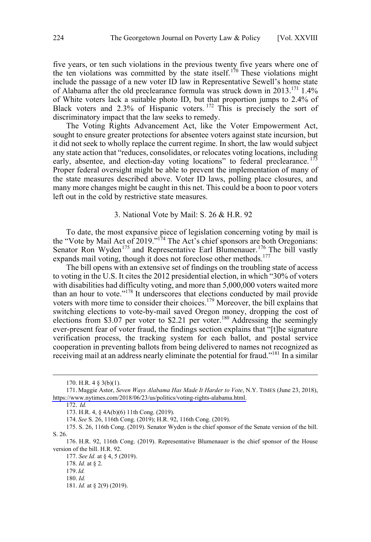<span id="page-23-0"></span>five years, or ten such violations in the previous twenty five years where one of the ten violations was committed by the state itself.<sup>170</sup> These violations might include the passage of a new voter ID law in Representative Sewell's home state of Alabama after the old preclearance formula was struck down in 2013.<sup>171</sup> 1.4% of White voters lack a suitable photo ID, but that proportion jumps to 2.4% of Black voters and 2.3% of Hispanic voters. <sup>172</sup> This is precisely the sort of discriminatory impact that the law seeks to remedy.

The Voting Rights Advancement Act, like the Voter Empowerment Act, sought to ensure greater protections for absentee voters against state incursion, but it did not seek to wholly replace the current regime. In short, the law would subject any state action that "reduces, consolidates, or relocates voting locations, including early, absentee, and election-day voting locations" to federal preclearance.  $173$ Proper federal oversight might be able to prevent the implementation of many of the state measures described above. Voter ID laws, polling place closures, and many more changes might be caught in this net. This could be a boon to poor voters left out in the cold by restrictive state measures.

## 3. National Vote by Mail: S. 26 & H.R. 92

To date, the most expansive piece of legislation concerning voting by mail is the "Vote by Mail Act of 2019."174 The Act's chief sponsors are both Oregonians: Senator Ron Wyden<sup>175</sup> and Representative Earl Blumenauer.<sup>176</sup> The bill vastly expands mail voting, though it does not foreclose other methods.<sup>177</sup>

The bill opens with an extensive set of findings on the troubling state of access to voting in the U.S. It cites the 2012 presidential election, in which "30% of voters with disabilities had difficulty voting, and more than 5,000,000 voters waited more than an hour to vote."<sup>178</sup> It underscores that elections conducted by mail provide voters with more time to consider their choices.<sup>179</sup> Moreover, the bill explains that switching elections to vote-by-mail saved Oregon money, dropping the cost of elections from \$3.07 per voter to \$2.21 per voter.<sup>180</sup> Addressing the seemingly ever-present fear of voter fraud, the findings section explains that "[t]he signature verification process, the tracking system for each ballot, and postal service cooperation in preventing ballots from being delivered to names not recognized as receiving mail at an address nearly eliminate the potential for fraud."<sup>181</sup> In a similar

 <sup>170.</sup> H.R. 4 § 3(b)(1).

<sup>171.</sup> Maggie Astor, *Seven Ways Alabama Has Made It Harder to Vote*, N.Y. TIMES (June 23, 2018), [https://www.nytimes.com/2018/06/23/us/politics/voting-rights-alabama.html.](https://www.nytimes.com/2018/06/23/us/politics/voting-rights-alabama.html)

<sup>172.</sup> *Id.* 

<sup>173.</sup> H.R. 4, § 4A(b)(6) 11th Cong. (2019).

<sup>174.</sup> *See* S. 26, 116th Cong. (2019); H.R. 92, 116th Cong. (2019).

<sup>175.</sup> S. 26, 116th Cong. (2019). Senator Wyden is the chief sponsor of the Senate version of the bill. S. 26.

<sup>176.</sup> H.R. 92, 116th Cong. (2019). Representative Blumenauer is the chief sponsor of the House version of the bill. H.R. 92.

<sup>177.</sup> *See Id.* at § 4, 5 (2019).

<sup>178.</sup> *Id.* at § 2.

<sup>179.</sup>*Id.* 180. *Id.*

<sup>181.</sup> *Id.* at § 2(9) (2019).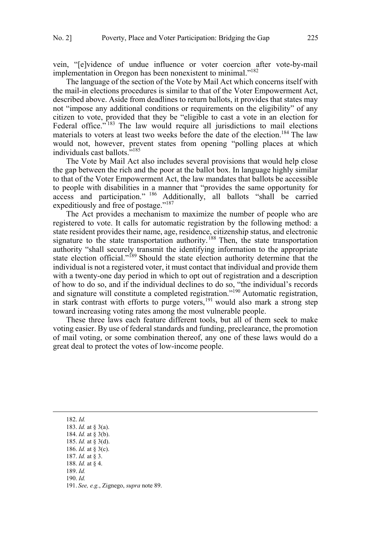vein, "[e]vidence of undue influence or voter coercion after vote-by-mail implementation in Oregon has been nonexistent to minimal."<sup>182</sup>

The language of the section of the Vote by Mail Act which concerns itself with the mail-in elections procedures is similar to that of the Voter Empowerment Act, described above. Aside from deadlines to return ballots, it provides that states may not "impose any additional conditions or requirements on the eligibility" of any citizen to vote, provided that they be "eligible to cast a vote in an election for Federal office."<sup>183</sup> The law would require all jurisdictions to mail elections materials to voters at least two weeks before the date of the election.<sup>184</sup> The law would not, however, prevent states from opening "polling places at which individuals cast ballots."<sup>185</sup>

The Vote by Mail Act also includes several provisions that would help close the gap between the rich and the poor at the ballot box. In language highly similar to that of the Voter Empowerment Act, the law mandates that ballots be accessible to people with disabilities in a manner that "provides the same opportunity for  $access$  and participation."  $186$  Additionally, all ballots "shall be carried expeditiously and free of postage."<sup>187</sup>

The Act provides a mechanism to maximize the number of people who are registered to vote. It calls for automatic registration by the following method: a state resident provides their name, age, residence, citizenship status, and electronic signature to the state transportation authority.<sup>188</sup> Then, the state transportation authority "shall securely transmit the identifying information to the appropriate state election official."<sup>189</sup> Should the state election authority determine that the individual is not a registered voter, it must contact that individual and provide them with a twenty-one day period in which to opt out of registration and a description of how to do so, and if the individual declines to do so, "the individual's records and signature will constitute a completed registration."<sup>190</sup> Automatic registration, in stark contrast with efforts to purge voters,  $191$  would also mark a strong step toward increasing voting rates among the most vulnerable people.

These three laws each feature different tools, but all of them seek to make voting easier. By use of federal standards and funding, preclearance, the promotion of mail voting, or some combination thereof, any one of these laws would do a great deal to protect the votes of low-income people.

 <sup>182.</sup> *Id.* 183. *Id.* at § 3(a). 184. *Id.* at § 3(b). 185. *Id.* at § 3(d). 186. *Id.* at § 3(c). 187. *Id.* at § 3. 188. *Id.* at § 4. 189. *Id.* 190. *Id.* 191. *See, e.g.*, Zignego, *supra* note 89.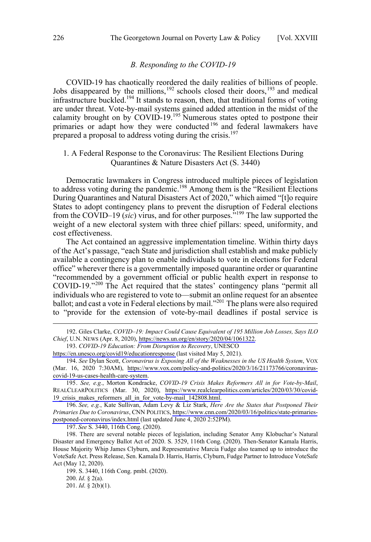#### *B. Responding to the COVID-19*

<span id="page-25-0"></span>COVID-19 has chaotically reordered the daily realities of billions of people. Jobs disappeared by the millions,  $192$  schools closed their doors,  $193$  and medical infrastructure buckled.<sup>194</sup> It stands to reason, then, that traditional forms of voting are under threat. Vote-by-mail systems gained added attention in the midst of the calamity brought on by COVID-19.<sup>195</sup> Numerous states opted to postpone their primaries or adapt how they were conducted<sup>196</sup> and federal lawmakers have prepared a proposal to address voting during the crisis.<sup>197</sup>

# 1. A Federal Response to the Coronavirus: The Resilient Elections During Quarantines & Nature Disasters Act (S. 3440)

Democratic lawmakers in Congress introduced multiple pieces of legislation to address voting during the pandemic.<sup>198</sup> Among them is the "Resilient Elections" During Quarantines and Natural Disasters Act of 2020," which aimed "[t]o require States to adopt contingency plans to prevent the disruption of Federal elections from the COVID–19 (*sic*) virus, and for other purposes."<sup>199</sup> The law supported the weight of a new electoral system with three chief pillars: speed, uniformity, and cost effectiveness.

The Act contained an aggressive implementation timeline. Within thirty days of the Act's passage, "each State and jurisdiction shall establish and make publicly available a contingency plan to enable individuals to vote in elections for Federal office" wherever there is a governmentally imposed quarantine order or quarantine "recommended by a government official or public health expert in response to COVID-19."<sup>200</sup> The Act required that the states' contingency plans "permit all individuals who are registered to vote to––submit an online request for an absentee ballot; and cast a vote in Federal elections by mail."<sup>201</sup> The plans were also required to "provide for the extension of vote-by-mail deadlines if postal service is

*COVID-19 Education: From Disruption to Recovery*, UNESCO 193.

<https://en.unesco.org/covid19/educationresponse>(last visited May 5, 2021).

*See, e.g.*, Kate Sullivan, Adam Levy & Liz Stark, *Here Are the States that Postponed Their*  196. *Primaries Due to Coronavirus*, CNN POLITICS, [https://www.cnn.com/2020/03/16/politics/state-primaries](https://www.cnn.com/2020/03/16/politics/state-primaries-postponed-coronavirus/index.html)[postponed-coronavirus/index.html](https://www.cnn.com/2020/03/16/politics/state-primaries-postponed-coronavirus/index.html) (last updated June 4, 2020 2:52PM).

197. *See* S. 3440, 116th Cong. (2020).

198. There are several notable pieces of legislation, including Senator Amy Klobuchar's Natural Disaster and Emergency Ballot Act of 2020. S. 3529, 116th Cong. (2020). Then-Senator Kamala Harris, House Majority Whip James Clyburn, and Representative Marcia Fudge also teamed up to introduce the VoteSafe Act. Press Release, Sen. Kamala D. Harris, Harris, Clyburn, Fudge Partner to Introduce VoteSafe Act (May 12, 2020).

199. S. 3440, 116th Cong. pmbl. (2020).

200. *Id*. § 2(a).

201. *Id*. § 2(b)(1).

Giles Clarke, *COVID–19: Impact Could Cause Equivalent of 195 Million Job Losses, Says ILO*  192. *Chief*, U.N. NEWS (Apr. 8, 2020), [https://news.un.org/en/story/2020/04/1061322.](https://news.un.org/en/story/2020/04/1061322)

*See* Dylan Scott, *Coronavirus is Exposing All of the Weaknesses in the US Health System*, VOX 194. (Mar. 16, 2020 7:30AM), [https://www.vox.com/policy-and-politics/2020/3/16/21173766/coronavirus](https://www.vox.com/policy-and-politics/2020/3/16/21173766/coronavirus-covid-19-us-cases-health-care-system)[covid-19-us-cases-health-care-system.](https://www.vox.com/policy-and-politics/2020/3/16/21173766/coronavirus-covid-19-us-cases-health-care-system)

*See, e.g.*, Morton Kondracke, *COVID-19 Crisis Makes Reformers All in for Vote-by-Mail*, 195. REALCLEARPOLITICS (Mar. 30, 2020), [https://www.realclearpolitics.com/articles/2020/03/30/covid-](https://www.realclearpolitics.com/articles/2020/03/30/covid-19_crisis_makes_reformers_all_in_for_vote-by-mail_142808.html)[19\\_crisis\\_makes\\_reformers\\_all\\_in\\_for\\_vote-by-mail\\_142808.html.](https://www.realclearpolitics.com/articles/2020/03/30/covid-19_crisis_makes_reformers_all_in_for_vote-by-mail_142808.html)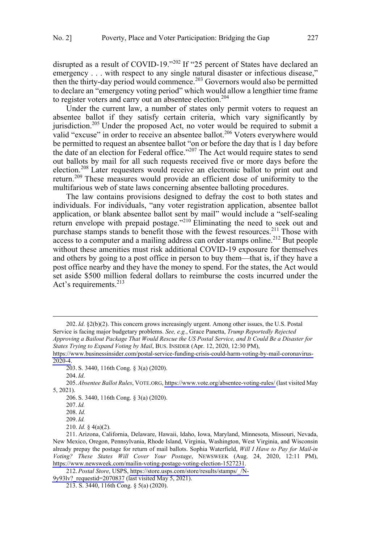disrupted as a result of COVID-19."<sup>202</sup> If "25 percent of States have declared an emergency . . . with respect to any single natural disaster or infectious disease," then the thirty-day period would commence.<sup>203</sup> Governors would also be permitted to declare an "emergency voting period" which would allow a lengthier time frame to register voters and carry out an absentee election.<sup>204</sup>

Under the current law, a number of states only permit voters to request an absentee ballot if they satisfy certain criteria, which vary significantly by jurisdiction.<sup>205</sup> Under the proposed Act, no voter would be required to submit a valid "excuse" in order to receive an absentee ballot.<sup>206</sup> Voters everywhere would be permitted to request an absentee ballot "on or before the day that is 1 day before the date of an election for Federal office."<sup>207</sup> The Act would require states to send out ballots by mail for all such requests received five or more days before the election.<sup>208</sup> Later requesters would receive an electronic ballot to print out and return.<sup>209</sup> These measures would provide an efficient dose of uniformity to the multifarious web of state laws concerning absentee balloting procedures.

The law contains provisions designed to defray the cost to both states and individuals. For individuals, "any voter registration application, absentee ballot application, or blank absentee ballot sent by mail" would include a "self-sealing return envelope with prepaid postage."<sup>210</sup> Eliminating the need to seek out and purchase stamps stands to benefit those with the fewest resources.<sup>211</sup> Those with  $\frac{1}{\text{access}}$  to a computer and a mailing address can order stamps online.<sup>212</sup> But people without these amenities must risk additional COVID-19 exposure for themselves and others by going to a post office in person to buy them—that is, if they have a post office nearby and they have the money to spend. For the states, the Act would set aside \$500 million federal dollars to reimburse the costs incurred under the Act's requirements. $^{213}$ 

*States Trying to Expand Voting by Mail*, BUS. INSIDER (Apr. 12, 2020, 12:30 PM),

<sup>202.</sup> *Id*. §2(b)(2). This concern grows increasingly urgent. Among other issues, the U.S. Postal Service is facing major budgetary problems. *See, e.g.*, Grace Panetta, *Trump Reportedly Rejected Approving a Bailout Package That Would Rescue the US Postal Service, and It Could Be a Disaster for* 

[https://www.businessinsider.com/postal-service-funding-crisis-could-harm-voting-by-mail-coronavirus-](https://www.businessinsider.com/postal-service-funding-crisis-could-harm-voting-by-mail-coronavirus-2020-4)[2020-4](https://www.businessinsider.com/postal-service-funding-crisis-could-harm-voting-by-mail-coronavirus-2020-4).

<sup>203.</sup> S. 3440, 116th Cong. § 3(a) (2020).

<sup>204.</sup>*Id*.

*Absentee Ballot Rules*, VOTE.ORG,<https://www.vote.org/absentee-voting-rules/>(last visited May 205. 5, 2021).

<sup>206.</sup> S. 3440, 116th Cong. § 3(a) (2020).

<sup>207.</sup>*Id.*

<sup>208.</sup> *Id.*

<sup>209.</sup> *Id.*

<sup>210.</sup> *Id.* § 4(a)(2).

<sup>211.</sup> Arizona, California, Delaware, Hawaii, Idaho, Iowa, Maryland, Minnesota, Missouri, Nevada, New Mexico, Oregon, Pennsylvania, Rhode Island, Virginia, Washington, West Virginia, and Wisconsin already prepay the postage for return of mail ballots. Sophia Waterfield, *Will I Have to Pay for Mail-in Voting? These States Will Cover Your Postage*, NEWSWEEK (Aug. 24, 2020, 12:11 PM), [https://www.newsweek.com/mailin-voting-postage-voting-election-1527231.](https://www.newsweek.com/mailin-voting-postage-voting-election-1527231)

<sup>212.</sup> Postal Store, USPS, https://store.usps.com/store/results/stamps/ /N-

<sup>9</sup>y93lv? requestid=2070837 (last visited May 5, 2021).

<sup>213.</sup> S. 3440, 116th Cong. § 5(a) (2020).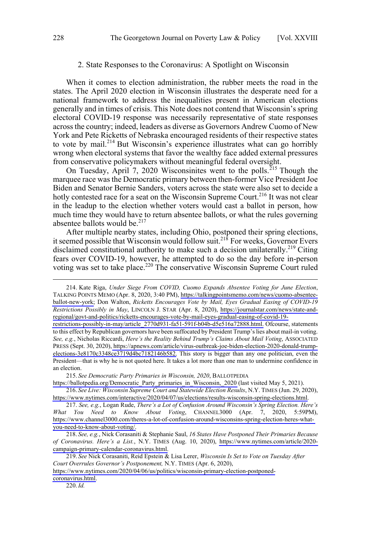#### 2. State Responses to the Coronavirus: A Spotlight on Wisconsin

<span id="page-27-0"></span>When it comes to election administration, the rubber meets the road in the states. The April 2020 election in Wisconsin illustrates the desperate need for a national framework to address the inequalities present in American elections generally and in times of crisis. This Note does not contend that Wisconsin's spring electoral COVID-19 response was necessarily representative of state responses across the country; indeed, leaders as diverse as Governors Andrew Cuomo of New York and Pete Ricketts of Nebraska encouraged residents of their respective states to vote by mail.<sup>214</sup> But Wisconsin's experience illustrates what can go horribly wrong when electoral systems that favor the wealthy face added external pressures from conservative policymakers without meaningful federal oversight.

On Tuesday, April 7, 2020 Wisconsinites went to the polls.<sup>215</sup> Though the marquee race was the Democratic primary between then-former Vice President Joe Biden and Senator Bernie Sanders, voters across the state were also set to decide a hotly contested race for a seat on the Wisconsin Supreme Court.<sup>216</sup> It was not clear in the leadup to the election whether voters would cast a ballot in person, how much time they would have to return absentee ballots, or what the rules governing absentee ballots would be. $217$ 

After multiple nearby states, including Ohio, postponed their spring elections, it seemed possible that Wisconsin would follow suit.<sup>218</sup> For weeks, Governor Evers disclaimed constitutional authority to make such a decision unilaterally.<sup>219</sup> Citing fears over COVID-19, however, he attempted to do so the day before in-person voting was set to take place.220 The conservative Wisconsin Supreme Court ruled

214. Kate Riga, Under Siege From COVID, Cuomo Expands Absentee Voting for June Election, TALKING POINTS MEMO (Apr. 8, 2020, 3:40 PM), [https://talkingpointsmemo.com/news/cuomo-absentee](https://talkingpointsmemo.com/news/cuomo-absentee-ballot-new-york)[ballot-new-york;](https://talkingpointsmemo.com/news/cuomo-absentee-ballot-new-york) Don Walton, *Ricketts Encourages Vote by Mail, Eyes Gradual Easing of COVID-19 Restrictions Possibly in May*, LINCOLN J. STAR (Apr. 8, 2020), [https://journalstar.com/news/state-and](https://journalstar.com/news/state-and-regional/govt-and-politics/ricketts-encourages-vote-by-mail-eyes-gradual-easing-of-covid-19-restrictions-possibly-in-may/article_2770d931-fa51-591f-b04b-d5e516a72888.html)[regional/govt-and-politics/ricketts-encourages-vote-by-mail-eyes-gradual-easing-of-covid-19-](https://journalstar.com/news/state-and-regional/govt-and-politics/ricketts-encourages-vote-by-mail-eyes-gradual-easing-of-covid-19-restrictions-possibly-in-may/article_2770d931-fa51-591f-b04b-d5e516a72888.html)

*See Democratic Party Primaries in Wisconsin, 2020*, BALLOTPEDIA 215.

[https://ballotpedia.org/Democratic\\_Party\\_primaries\\_in\\_Wisconsin,\\_2020](https://ballotpedia.org/Democratic_Party_primaries_in_Wisconsin,_2020) (last visited May 5, 2021). *See Live: Wisconsin Supreme Court and Statewide Election Results*, N.Y. TIMES (Jun. 29, 2020), 216.

[https://www.nytimes.com/interactive/2020/04/07/us/elections/results-wisconsin-spring-elections.html.](https://www.nytimes.com/interactive/2020/04/07/us/elections/results-wisconsin-spring-elections.html) *See, e.g.*, Logan Rude, *There's a Lot of Confusion Around Wisconsin's Spring Election. Here's*  217.

*What You Need to Know About Voting*, CHANNEL3000 (Apr. 7, 2020, 5:59PM), [https://www.channel3000.com/theres-a-lot-of-confusion-around-wisconsins-spring-election-heres-what](https://www.channel3000.com/theres-a-lot-of-confusion-around-wisconsins-spring-election-heres-what-you-need-to-know-about-voting/)[you-need-to-know-about-voting/.](https://www.channel3000.com/theres-a-lot-of-confusion-around-wisconsins-spring-election-heres-what-you-need-to-know-about-voting/)

*See, e.g.*, Nick Corasaniti & Stephanie Saul, *16 States Have Postponed Their Primaries Because*  218. *of Coronavirus. Here's a List.*, N.Y. TIMES (Aug. 10, 2020), [https://www.nytimes.com/article/2020](https://www.nytimes.com/article/2020-campaign-primary-calendar-coronavirus.html) [campaign-primary-calendar-coronavirus.html.](https://www.nytimes.com/article/2020-campaign-primary-calendar-coronavirus.html)

*See* Nick Corasaniti, Reid Epstein & Lisa Lerer, *Wisconsin Is Set to Vote on Tuesday After*  219. *Court Overrules Governor's Postponement,* N.Y. TIMES (Apr. 6, 2020),

[https://www.nytimes.com/2020/04/06/us/politics/wisconsin-primary-election-postponed](https://www.nytimes.com/2020/04/06/us/politics/wisconsin-primary-election-postponed-coronavirus.html)[coronavirus.html.](https://www.nytimes.com/2020/04/06/us/politics/wisconsin-primary-election-postponed-coronavirus.html)

220.*Id.*

[restrictions-possibly-in-may/article\\_2770d931-fa51-591f-b04b-d5e516a72888.html.](https://journalstar.com/news/state-and-regional/govt-and-politics/ricketts-encourages-vote-by-mail-eyes-gradual-easing-of-covid-19-restrictions-possibly-in-may/article_2770d931-fa51-591f-b04b-d5e516a72888.html) Ofcourse, statements to this effect by Republican governors have been suffocated by President Trump's lies about mail-in voting. *See, e.g.*, Nicholas Riccardi, *Here's the Reality Behind Trump's Claims About Mail Voting*, ASSOCIATED PRESS (Sept. 30, 2020), [https://apnews.com/article/virus-outbreak-joe-biden-election-2020-donald-trump](https://apnews.com/article/virus-outbreak-joe-biden-election-2020-donald-trump-elections-3e8170c3348ce3719d4bc7182146b582)[elections-3e8170c3348ce3719d4bc7182146b582.](https://apnews.com/article/virus-outbreak-joe-biden-election-2020-donald-trump-elections-3e8170c3348ce3719d4bc7182146b582) This story is bigger than any one politician, even the President—that is why he is not quoted here. It takes a lot more than one man to undermine confidence in an election.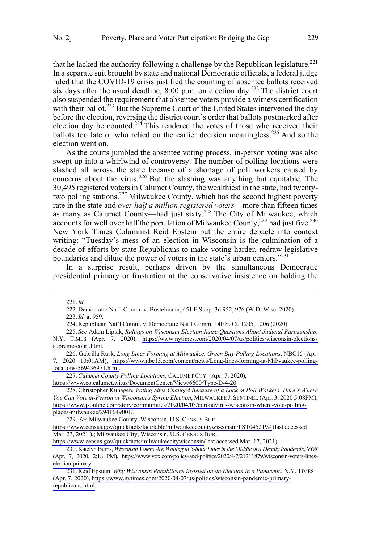that he lacked the authority following a challenge by the Republican legislature.<sup>221</sup> In a separate suit brought by state and national Democratic officials, a federal judge ruled that the COVID-19 crisis justified the counting of absentee ballots received six days after the usual deadline,  $8:00$  p.m. on election day.<sup>222</sup> The district court also suspended the requirement that absentee voters provide a witness certification with their ballot.<sup>223</sup> But the Supreme Court of the United States intervened the day before the election, reversing the district court's order that ballots postmarked after election day be counted.<sup>224</sup> This rendered the votes of those who received their ballots too late or who relied on the earlier decision meaningless.<sup>225</sup> And so the election went on.

As the courts jumbled the absentee voting process, in-person voting was also swept up into a whirlwind of controversy. The number of polling locations were slashed all across the state because of a shortage of poll workers caused by concerns about the virus.<sup>226</sup> But the slashing was anything but equitable. The 30,495 registered voters in Calumet County, the wealthiest in the state, had twentytwo polling stations.<sup>227</sup> Milwaukee County, which has the second highest poverty rate in the state and *over half a million registered voters*—more than fifteen times as many as Calumet County—had just sixty.<sup>228</sup> The City of Milwaukee, which accounts for well over half the population of Milwaukee County,  $2^{29}$  had just five.  $2^{230}$ New York Times Columnist Reid Epstein put the entire debacle into context writing: "Tuesday's mess of an election in Wisconsin is the culmination of a decade of efforts by state Republicans to make voting harder, redraw legislative boundaries and dilute the power of voters in the state's urban centers."<sup>231</sup>

In a surprise result, perhaps driven by the simultaneous Democratic presidential primary or frustration at the conservative insistence on holding the

 $\overline{a}$ 

223.*Id.* at 959.

<sup>221.</sup>*Id.*

<sup>222.</sup> Democratic Nat'l Comm. v. Bostelmann, 451 F.Supp. 3d 952, 976 (W.D. Wisc. 2020).

<sup>224.</sup>Republican Nat'l Comm. v. Democratic Nat'l Comm, 140 S. Ct. 1205, 1206 (2020).

*See* Adam Liptak, *Rulings on Wisconsin Election Raise Questions About Judicial Partisanship*, 225. N.Y. TIMES (Apr. 7, 2020), [https://www.nytimes.com/2020/04/07/us/politics/wisconsin-elections](https://www.nytimes.com/2020/04/07/us/politics/wisconsin-elections-supreme-court.html)[supreme-court.html.](https://www.nytimes.com/2020/04/07/us/politics/wisconsin-elections-supreme-court.html)

<sup>226.</sup> Gabrilla Rusk, *Long Lines Forming at Milwaukee*, Green Bay Polling Locations, NBC15 (Apr. 7, 2020 10:01AM), [https://www.nbc15.com/content/news/Long-lines-forming-at-Milwaukee-polling](https://www.nbc15.com/content/news/Long-lines-forming-at-Milwaukee-polling-locations-569436971.html)[locations-569436971.html.](https://www.nbc15.com/content/news/Long-lines-forming-at-Milwaukee-polling-locations-569436971.html)

*Calumet County Polling Locations*, CALUMET CTY. (Apr. 7, 2020), 227.

[https://www.co.calumet.wi.us/DocumentCenter/View/6600/Type-D-4-20.](https://www.co.calumet.wi.us/DocumentCenter/View/6600/Type-D-4-20)

<sup>228.</sup> Christopher Kuhagen, *Voting Sites Changed Because of a Lack of Poll Workers. Here's Where You Can Vote in-Person in Wisconsin's Spring Election*, MILWAUKEE J. SENTINEL (Apr. 3, 2020 5:08PM), [https://www.jsonline.com/story/communities/2020/04/03/coronavirus-wisconsin-where-vote-polling](https://www.jsonline.com/story/communities/2020/04/03/coronavirus-wisconsin-where-vote-polling-places-milwaukee/2941649001/)[places-milwaukee/2941649001/.](https://www.jsonline.com/story/communities/2020/04/03/coronavirus-wisconsin-where-vote-polling-places-milwaukee/2941649001/)

*See* Milwaukee County, Wisconsin, U.S. CENSUS BUR. 229.

<https://www.census.gov/quickfacts/fact/table/milwaukeecountywisconsin/PST045219#>(last accessed Mar. 23, 2021 ),; Milwaukee City, Wisconsin, U.S. CENSUS BUR.,

[https://www.census.gov/quickfacts/milwaukeecitywisconsin\(](https://www.census.gov/quickfacts/milwaukeecitywisconsin)last accessed Mar. 17, 2021).

<sup>230.</sup> Katelyn Burns, *Wisconsin Voters Are Waiting in 5-hour Lines in the Middle of a Deadly Pandemic*, VOX (Apr. 7, 2020, 2:18 PM), [https://www.vox.com/policy-and-politics/2020/4/7/21211879/wisconsin-voters-lines](https://www.vox.com/policy-and-politics/2020/4/7/21211879/wisconsin-voters-lines-election-primary)[election-primary.](https://www.vox.com/policy-and-politics/2020/4/7/21211879/wisconsin-voters-lines-election-primary)

<sup>231.</sup> Reid Epstein, Why Wisconsin Republicans Insisted on an Election in a Pandemic, N.Y. TIMES (Apr. 7, 2020), [https://www.nytimes.com/2020/04/07/us/politics/wisconsin-pandemic-primary](https://www.nytimes.com/2020/04/07/us/politics/wisconsin-pandemic-primary-republicans.html)[republicans.html.](https://www.nytimes.com/2020/04/07/us/politics/wisconsin-pandemic-primary-republicans.html)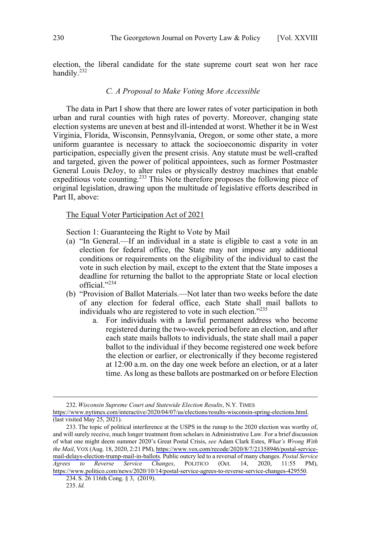<span id="page-29-0"></span>election, the liberal candidate for the state supreme court seat won her race handily.<sup>232</sup>

# *C. A Proposal to Make Voting More Accessible*

The data in Part I show that there are lower rates of voter participation in both urban and rural counties with high rates of poverty. Moreover, changing state election systems are uneven at best and ill-intended at worst. Whether it be in West Virginia, Florida, Wisconsin, Pennsylvania, Oregon, or some other state, a more uniform guarantee is necessary to attack the socioeconomic disparity in voter participation, especially given the present crisis. Any statute must be well-crafted and targeted, given the power of political appointees, such as former Postmaster General Louis DeJoy, to alter rules or physically destroy machines that enable expeditious vote counting.<sup>233</sup> This Note therefore proposes the following piece of original legislation, drawing upon the multitude of legislative efforts described in Part II, above:

## The Equal Voter Participation Act of 2021

Section 1: Guaranteeing the Right to Vote by Mail

- (a) "In General.—If an individual in a state is eligible to cast a vote in an election for federal office, the State may not impose any additional conditions or requirements on the eligibility of the individual to cast the vote in such election by mail, except to the extent that the State imposes a deadline for returning the ballot to the appropriate State or local election official."<sup>234</sup>
- (b) "Provision of Ballot Materials.—Not later than two weeks before the date of any election for federal office, each State shall mail ballots to individuals who are registered to vote in such election."235
	- a. For individuals with a lawful permanent address who become registered during the two-week period before an election, and after each state mails ballots to individuals, the state shall mail a paper ballot to the individual if they become registered one week before the election or earlier, or electronically if they become registered at 12:00 a.m. on the day one week before an election, or at a later time. As long as these ballots are postmarked on or before Election

*Wisconsin Supreme Court and Statewide Election Results*, N.Y. TIMES 232.

[https://www.nytimes.com/interactive/2020/04/07/us/elections/results-wisconsin-spring-elections.html.](https://www.nytimes.com/interactive/2020/04/07/us/elections/results-wisconsin-spring-elections.html) (last visited May 25, 2021).

<sup>233.</sup> The topic of political interference at the USPS in the runup to the 2020 election was worthy of, and will surely receive, much longer treatment from scholars in Administrative Law. For a brief discussion of what one might deem summer 2020's Great Postal Crisis, *see* Adam Clark Estes, *What's Wrong With the Mail*, VOX (Aug. 18, 2020, 2:21 PM), [https://www.vox.com/recode/2020/8/7/21358946/postal-service](https://www.vox.com/recode/2020/8/7/21358946/postal-service-mail-delays-election-trump-mail-in-ballots)[mail-delays-election-trump-mail-in-ballots](https://www.vox.com/recode/2020/8/7/21358946/postal-service-mail-delays-election-trump-mail-in-ballots). Public outcry led to a reversal of many changes. *Postal Service Agrees to Reverse Service Changes*, POLITICO (Oct. 14, 2020, 11:55 PM), <https://www.politico.com/news/2020/10/14/postal-service-agrees-to-reverse-service-changes-429550>.

<sup>234.</sup> S. 26 116th Cong. § 3, (2019).

<sup>235.</sup>*Id.*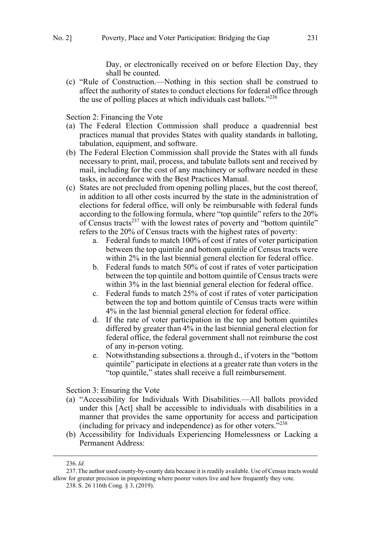Day, or electronically received on or before Election Day, they shall be counted.

(c) "Rule of Construction.—Nothing in this section shall be construed to affect the authority of states to conduct elections for federal office through the use of polling places at which individuals cast ballots."<sup>236</sup>

Section 2: Financing the Vote

- (a) The Federal Election Commission shall produce a quadrennial best practices manual that provides States with quality standards in balloting, tabulation, equipment, and software.
- (b) The Federal Election Commission shall provide the States with all funds necessary to print, mail, process, and tabulate ballots sent and received by mail, including for the cost of any machinery or software needed in these tasks, in accordance with the Best Practices Manual.
- (c) States are not precluded from opening polling places, but the cost thereof, in addition to all other costs incurred by the state in the administration of elections for federal office, will only be reimbursable with federal funds according to the following formula, where "top quintile" refers to the 20% of Census tracts<sup>237</sup> with the lowest rates of poverty and "bottom quintile" refers to the 20% of Census tracts with the highest rates of poverty:
	- a. Federal funds to match 100% of cost if rates of voter participation between the top quintile and bottom quintile of Census tracts were within 2% in the last biennial general election for federal office.
	- b. Federal funds to match 50% of cost if rates of voter participation between the top quintile and bottom quintile of Census tracts were within 3% in the last biennial general election for federal office.
	- c. Federal funds to match 25% of cost if rates of voter participation between the top and bottom quintile of Census tracts were within 4% in the last biennial general election for federal office.
	- d. If the rate of voter participation in the top and bottom quintiles differed by greater than 4% in the last biennial general election for federal office, the federal government shall not reimburse the cost of any in-person voting.
	- e. Notwithstanding subsections a. through d., if voters in the "bottom quintile" participate in elections at a greater rate than voters in the "top quintile," states shall receive a full reimbursement.

Section 3: Ensuring the Vote

- (a) "Accessibility for Individuals With Disabilities.—All ballots provided under this [Act] shall be accessible to individuals with disabilities in a manner that provides the same opportunity for access and participation (including for privacy and independence) as for other voters. $5238$
- (b) Accessibility for Individuals Experiencing Homelessness or Lacking a Permanent Address:

 <sup>236.</sup>*Id.*

<sup>237.</sup>The author used county-by-county data because it is readily available. Use of Census tracts would allow for greater precision in pinpointing where poorer voters live and how frequently they vote.

<sup>238.</sup> S. 26 116th Cong. § 3, (2019).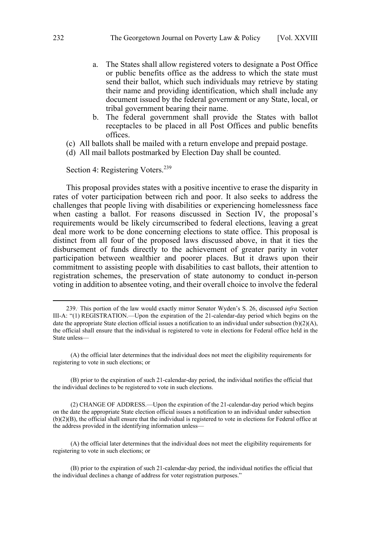- a. The States shall allow registered voters to designate a Post Office or public benefits office as the address to which the state must send their ballot, which such individuals may retrieve by stating their name and providing identification, which shall include any document issued by the federal government or any State, local, or tribal government bearing their name.
- b. The federal government shall provide the States with ballot receptacles to be placed in all Post Offices and public benefits offices.
- (c) All ballots shall be mailed with a return envelope and prepaid postage.
- (d) All mail ballots postmarked by Election Day shall be counted.

Section 4: Registering Voters.<sup>239</sup>

This proposal provides states with a positive incentive to erase the disparity in rates of voter participation between rich and poor. It also seeks to address the challenges that people living with disabilities or experiencing homelessness face when casting a ballot. For reasons discussed in Section IV, the proposal's requirements would be likely circumscribed to federal elections, leaving a great deal more work to be done concerning elections to state office. This proposal is distinct from all four of the proposed laws discussed above, in that it ties the disbursement of funds directly to the achievement of greater parity in voter participation between wealthier and poorer places. But it draws upon their commitment to assisting people with disabilities to cast ballots, their attention to registration schemes, the preservation of state autonomy to conduct in-person voting in addition to absentee voting, and their overall choice to involve the federal

(A) the official later determines that the individual does not meet the eligibility requirements for registering to vote in such elections; or

(B) prior to the expiration of such 21-calendar-day period, the individual notifies the official that the individual declines to be registered to vote in such elections.

(2) CHANGE OF ADDRESS.—Upon the expiration of the 21-calendar-day period which begins on the date the appropriate State election official issues a notification to an individual under subsection (b)(2)(B), the official shall ensure that the individual is registered to vote in elections for Federal office at the address provided in the identifying information unless—

(A) the official later determines that the individual does not meet the eligibility requirements for registering to vote in such elections; or

(B) prior to the expiration of such 21-calendar-day period, the individual notifies the official that the individual declines a change of address for voter registration purposes."

<sup>239..</sup> This portion of the law would exactly mirror Senator Wyden's S. 26, discussed *infra* Section III-A: "(1) REGISTRATION.—Upon the expiration of the 21-calendar-day period which begins on the date the appropriate State election official issues a notification to an individual under subsection  $(b)(2)(A)$ , the official shall ensure that the individual is registered to vote in elections for Federal office held in the State unless—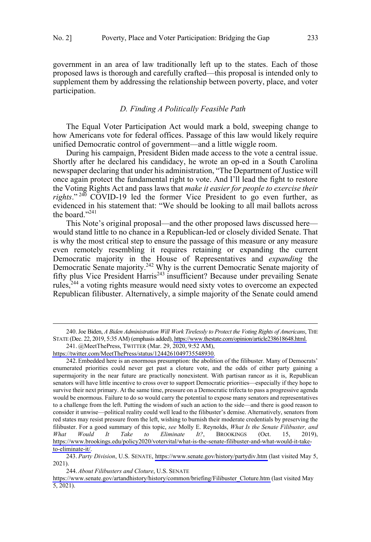participation.

<span id="page-32-0"></span>government in an area of law traditionally left up to the states. Each of those proposed laws is thorough and carefully crafted—this proposal is intended only to supplement them by addressing the relationship between poverty, place, and voter

#### *D. Finding A Politically Feasible Path*

The Equal Voter Participation Act would mark a bold, sweeping change to how Americans vote for federal offices. Passage of this law would likely require unified Democratic control of government—and a little wiggle room.

During his campaign, President Biden made access to the vote a central issue. Shortly after he declared his candidacy, he wrote an op-ed in a South Carolina newspaper declaring that under his administration, "The Department of Justice will once again protect the fundamental right to vote. And I'll lead the fight to restore the Voting Rights Act and pass laws that *make it easier for people to exercise their rights*." <sup>240</sup> COVID-19 led the former Vice President to go even further, as evidenced in his statement that: "We should be looking to all mail ballots across the board."<sup>241</sup>

This Note's original proposal—and the other proposed laws discussed here would stand little to no chance in a Republican-led or closely divided Senate. That is why the most critical step to ensure the passage of this measure or any measure even remotely resembling it requires retaining or expanding the current Democratic majority in the House of Representatives and *expanding* the Democratic Senate majority.<sup>242</sup> Why is the current Democratic Senate majority of fifty plus Vice President Harris<sup>243</sup> insufficient? Because under prevailing Senate rules,<sup>244</sup> a voting rights measure would need sixty votes to overcome an expected Republican filibuster. Alternatively, a simple majority of the Senate could amend

Joe Biden, *A Biden Administration Will Work Tirelessly to Protect the Voting Rights of Americans*, THE 240. STATE (Dec. 22, 2019, 5:35 AM) (emphasis added), [https://www.thestate.com/opinion/article238618648.html.](https://www.thestate.com/opinion/article238618648.html)

<sup>241. @</sup>MeetThePress, TWITTER (Mar. 29, 2020, 9:52 AM), [https://twitter.com/MeetThePress/status/1244261049735548930.](https://twitter.com/MeetThePress/status/1244261049735548930)

Embedded here is an enormous presumption: the abolition of the filibuster. Many of Democrats' 242. enumerated priorities could never get past a cloture vote, and the odds of either party gaining a supermajority in the near future are practically nonexistent. With partisan rancor as it is, Republican senators will have little incentive to cross over to support Democratic priorities—especially if they hope to survive their next primary. At the same time, pressure on a Democratic trifecta to pass a progressive agenda would be enormous. Failure to do so would carry the potential to expose many senators and representatives to a challenge from the left. Putting the wisdom of such an action to the side—and there is good reason to consider it unwise—political reality could well lead to the filibuster's demise. Alternatively, senators from red states may resist pressure from the left, wishing to burnish their moderate credentials by preserving the filibuster. For a good summary of this topic, *see* Molly E. Reynolds, *What Is the Senate Filibuster, and What Would It Take to Eliminate It?*, BROOKINGS (Oct. 15, 2019), [https://www.brookings.edu/policy2020/votervital/what-is-the-senate-filibuster-and-what-would-it-take](https://www.brookings.edu/policy2020/votervital/what-is-the-senate-filibuster-and-what-would-it-take-to-eliminate-it/)[to-eliminate-it/.](https://www.brookings.edu/policy2020/votervital/what-is-the-senate-filibuster-and-what-would-it-take-to-eliminate-it/)

*Party Division*, U.S. SENATE, <https://www.senate.gov/history/partydiv.htm>(last visited May 5, 243. 2021).

*About Filibusters and Cloture*, U.S. SENATE 244.

[https://www.senate.gov/artandhistory/history/common/briefing/Filibuster\\_Cloture.htm](https://www.senate.gov/artandhistory/history/common/briefing/Filibuster_Cloture.htm) (last visited May 5, 2021).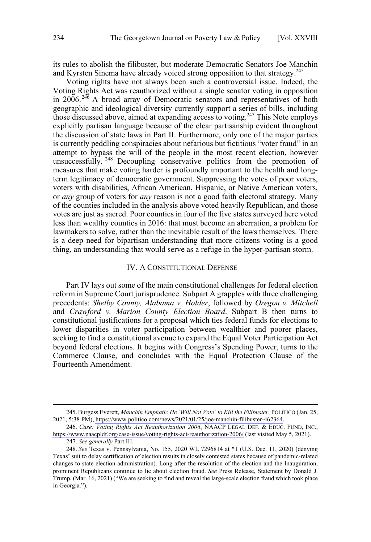<span id="page-33-0"></span>its rules to abolish the filibuster, but moderate Democratic Senators Joe Manchin and Kyrsten Sinema have already voiced strong opposition to that strategy.<sup>245</sup>

Voting rights have not always been such a controversial issue. Indeed, the Voting Rights Act was reauthorized without a single senator voting in opposition in 2006.<sup>246</sup> A broad array of Democratic senators and representatives of both geographic and ideological diversity currently support a series of bills, including those discussed above, aimed at expanding access to voting.<sup>247</sup> This Note employs explicitly partisan language because of the clear partisanship evident throughout the discussion of state laws in Part II. Furthermore, only one of the major parties is currently peddling conspiracies about nefarious but fictitious "voter fraud" in an attempt to bypass the will of the people in the most recent election, however unsuccessfully.<sup>248</sup> Decoupling conservative politics from the promotion of measures that make voting harder is profoundly important to the health and longterm legitimacy of democratic government. Suppressing the votes of poor voters, voters with disabilities, African American, Hispanic, or Native American voters, or *any* group of voters for *any* reason is not a good faith electoral strategy. Many of the counties included in the analysis above voted heavily Republican, and those votes are just as sacred. Poor counties in four of the five states surveyed here voted less than wealthy counties in 2016: that must become an aberration, a problem for lawmakers to solve, rather than the inevitable result of the laws themselves. There is a deep need for bipartisan understanding that more citizens voting is a good thing, an understanding that would serve as a refuge in the hyper-partisan storm.

#### IV. A CONSTITUTIONAL DEFENSE

Part IV lays out some of the main constitutional challenges for federal election reform in Supreme Court jurisprudence. Subpart A grapples with three challenging precedents: *Shelby County, Alabama v. Holder*, followed by *Oregon v. Mitchell* and *Crawford v. Marion County Election Board*. Subpart B then turns to constitutional justifications for a proposal which ties federal funds for elections to lower disparities in voter participation between wealthier and poorer places, seeking to find a constitutional avenue to expand the Equal Voter Participation Act beyond federal elections. It begins with Congress's Spending Power, turns to the Commerce Clause, and concludes with the Equal Protection Clause of the Fourteenth Amendment.

Burgess Everett, *Manchin Emphatic He 'Will Not Vote' to Kill the Filibuster*, POLITICO (Jan. 25, 245. 2021, 5:38 PM), [https://www.politico.com/news/2021/01/25/joe-manchin-filibuster-462364.](https://www.politico.com/news/2021/01/25/joe-manchin-filibuster-462364)

*Case: Voting Rights Act Reauthorization 2006*, NAACP LEGAL DEF. & EDUC. FUND, INC., 246. <https://www.naacpldf.org/case-issue/voting-rights-act-reauthorization-2006/>(last visited May 5, 2021).

<sup>247.</sup> *See generally* Part III.

<sup>248.</sup> *See* Texas v. Pennsylvania, No. 155, 2020 WL 7296814 at \*1 (U.S. Dec. 11, 2020) (denying Texas' suit to delay certification of election results in closely contested states because of pandemic-related changes to state election administration). Long after the resolution of the election and the Inauguration, prominent Republicans continue to lie about election fraud. *See* Press Release, Statement by Donald J. Trump, (Mar. 16, 2021) ("We are seeking to find and reveal the large-scale election fraud which took place in Georgia.").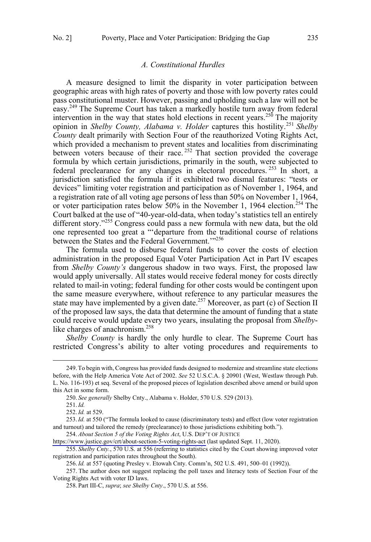#### *A. Constitutional Hurdles*

<span id="page-34-0"></span>A measure designed to limit the disparity in voter participation between geographic areas with high rates of poverty and those with low poverty rates could pass constitutional muster. However, passing and upholding such a law will not be easy.<sup>249</sup> The Supreme Court has taken a markedly hostile turn away from federal intervention in the way that states hold elections in recent years.<sup>250</sup> The majority opinion in *Shelby County, Alabama v. Holder* captures this hostility.<sup>251</sup> *Shelby County* dealt primarily with Section Four of the reauthorized Voting Rights Act, which provided a mechanism to prevent states and localities from discriminating between voters because of their race.<sup>252</sup> That section provided the coverage formula by which certain jurisdictions, primarily in the south, were subjected to federal preclearance for any changes in electoral procedures.<sup>253</sup> In short, a jurisdiction satisfied the formula if it exhibited two dismal features: "tests or devices" limiting voter registration and participation as of November 1, 1964, and a registration rate of all voting age persons of less than 50% on November 1, 1964, or voter participation rates below  $50\%$  in the November 1, 1964 election.<sup>254</sup> The Court balked at the use of "40-year-old-data, when today's statistics tell an entirely different story."255 Congress could pass a new formula with new data, but the old one represented too great a "'departure from the traditional course of relations between the States and the Federal Government."<sup>256</sup>

The formula used to disburse federal funds to cover the costs of election administration in the proposed Equal Voter Participation Act in Part IV escapes from *Shelby County's* dangerous shadow in two ways. First, the proposed law would apply universally. All states would receive federal money for costs directly related to mail-in voting; federal funding for other costs would be contingent upon the same measure everywhere, without reference to any particular measures the state may have implemented by a given date.<sup>257</sup> Moreover, as part (c) of Section II of the proposed law says, the data that determine the amount of funding that a state could receive would update every two years, insulating the proposal from *Shelby*like charges of anachronism.<sup>258</sup>

*Shelby County* is hardly the only hurdle to clear. The Supreme Court has restricted Congress's ability to alter voting procedures and requirements to

 $\overline{a}$ 

*About Section 5 of the Voting Rights Act*, U.S. DEP'T OF JUSTICE 254.

<https://www.justice.gov/crt/about-section-5-voting-rights-act>(last updated Sept. 11, 2020).

<sup>249.</sup>To begin with, Congress has provided funds designed to modernize and streamline state elections before, with the Help America Vote Act of 2002. *See* 52 U.S.C.A. § 20901 (West, Westlaw through Pub. L. No. 116-193) et seq. Several of the proposed pieces of legislation described above amend or build upon this Act in some form.

<sup>250.</sup> *See generally* Shelby Cnty., Alabama v. Holder, 570 U.S. 529 (2013).

<sup>251.</sup>*Id.*

<sup>252.</sup>*Id.* at 529.

<sup>253.</sup>*Id.* at 550 ("The formula looked to cause (discriminatory tests) and effect (low voter registration and turnout) and tailored the remedy (preclearance) to those jurisdictions exhibiting both.").

<sup>255.</sup> *Shelby Cnty.*, 570 U.S. at 556 (referring to statistics cited by the Court showing improved voter registration and participation rates throughout the South).

<sup>256.</sup>*Id.* at 557 (quoting Presley v. Etowah Cnty. Comm'n, 502 U.S. 491, 500–01 (1992)).

<sup>257.</sup> The author does not suggest replacing the poll taxes and literacy tests of Section Four of the Voting Rights Act with voter ID laws.

<sup>258.</sup> Part III-C, *supra*; *see Shelby Cnty*., 570 U.S. at 556.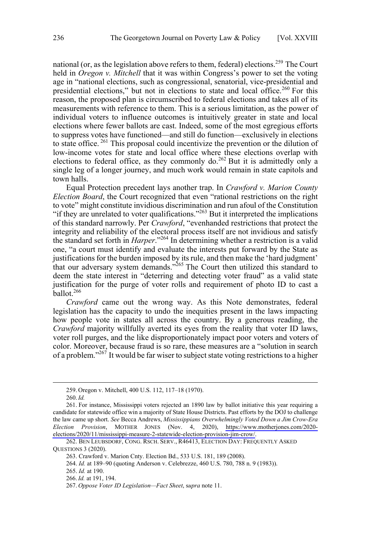national (or, as the legislation above refers to them, federal) elections.<sup>259</sup> The Court held in *Oregon v. Mitchell* that it was within Congress's power to set the voting age in "national elections, such as congressional, senatorial, vice-presidential and presidential elections," but not in elections to state and local office.<sup>260</sup> For this reason, the proposed plan is circumscribed to federal elections and takes all of its measurements with reference to them. This is a serious limitation, as the power of individual voters to influence outcomes is intuitively greater in state and local elections where fewer ballots are cast. Indeed, some of the most egregious efforts to suppress votes have functioned—and still do function—exclusively in elections to state office.<sup>261</sup> This proposal could incentivize the prevention or the dilution of low-income votes for state and local office where these elections overlap with elections to federal office, as they commonly do.<sup>262</sup> But it is admittedly only a single leg of a longer journey, and much work would remain in state capitols and town halls.

Equal Protection precedent lays another trap. In *Crawford v. Marion County Election Board*, the Court recognized that even "rational restrictions on the right to vote" might constitute invidious discrimination and run afoul of the Constitution "if they are unrelated to voter qualifications."<sup>263</sup> But it interpreted the implications of this standard narrowly. Per *Crawford*, "evenhanded restrictions that protect the integrity and reliability of the electoral process itself are not invidious and satisfy the standard set forth in *Harper*."<sup>264</sup> In determining whether a restriction is a valid one, "a court must identify and evaluate the interests put forward by the State as justifications for the burden imposed by its rule, and then make the 'hard judgment' that our adversary system demands."<sup>265</sup> The Court then utilized this standard to deem the state interest in "deterring and detecting voter fraud" as a valid state justification for the purge of voter rolls and requirement of photo ID to cast a ballot.<sup>266</sup>

*Crawford* came out the wrong way. As this Note demonstrates, federal legislation has the capacity to undo the inequities present in the laws impacting how people vote in states all across the country. By a generous reading, the *Crawford* majority willfully averted its eyes from the reality that voter ID laws, voter roll purges, and the like disproportionately impact poor voters and voters of color. Moreover, because fraud is so rare, these measures are a "solution in search of a problem."267 It would be far wiser to subject state voting restrictions to a higher

<sup>259.</sup> Oregon v. Mitchell, 400 U.S. 112, 117–18 (1970).

<sup>260.</sup>*Id.*

<sup>261.</sup> For instance, Mississippi voters rejected an 1890 law by ballot initiative this year requiring a candidate for statewide office win a majority of State House Districts. Past efforts by the DOJ to challenge the law came up short. *See* Becca Andrews, *Mississippians Overwhelmingly Voted Down a Jim Crow-Era Election Provision*, MOTHER JONES (Nov. 4, 2020), [https://www.motherjones.com/2020](https://www.motherjones.com/2020-elections/2020/11/mississippi-measure-2-statewide-election-provision-jim-crow/) [elections/2020/11/mississippi-measure-2-statewide-election-provision-jim-crow/.](https://www.motherjones.com/2020-elections/2020/11/mississippi-measure-2-statewide-election-provision-jim-crow/)

<sup>262.</sup> BEN LEUBSDORF, CONG. RSCH. SERV., R46413, ELECTION DAY: FREQUENTLY ASKED QUESTIONS 3 (2020).

<sup>263.</sup> Crawford v. Marion Cnty. Election Bd., 533 U.S. 181, 189 (2008).

<sup>264.</sup> *Id.* at 189–90 (quoting Anderson v. Celebrezze, 460 U.S. 780, 788 n. 9 (1983)).

<sup>265.</sup> *Id.* at 190.

<sup>266.</sup>*Id.* at 191, 194.

<sup>267.</sup> *Oppose Voter ID Legislation—Fact Sheet*, s*upra* note 11.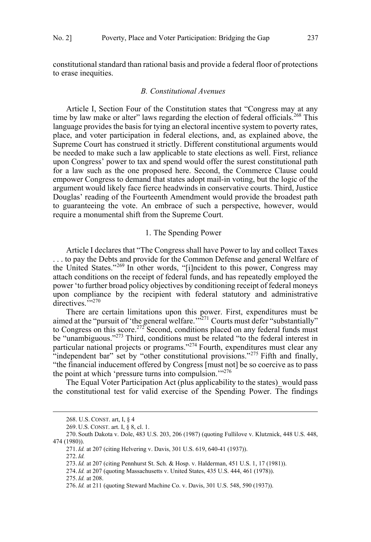<span id="page-36-0"></span>constitutional standard than rational basis and provide a federal floor of protections to erase inequities.

### *B. Constitutional Avenues*

Article I, Section Four of the Constitution states that "Congress may at any time by law make or alter" laws regarding the election of federal officials.<sup>268</sup> This language provides the basis for tying an electoral incentive system to poverty rates, place, and voter participation in federal elections, and, as explained above, the Supreme Court has construed it strictly. Different constitutional arguments would be needed to make such a law applicable to state elections as well. First, reliance upon Congress' power to tax and spend would offer the surest constitutional path for a law such as the one proposed here. Second, the Commerce Clause could empower Congress to demand that states adopt mail-in voting, but the logic of the argument would likely face fierce headwinds in conservative courts. Third, Justice Douglas' reading of the Fourteenth Amendment would provide the broadest path to guaranteeing the vote. An embrace of such a perspective, however, would require a monumental shift from the Supreme Court.

# 1. The Spending Power

Article I declares that "The Congress shall have Power to lay and collect Taxes . . . to pay the Debts and provide for the Common Defense and general Welfare of the United States."<sup>269</sup> In other words, "[i]ncident to this power, Congress may attach conditions on the receipt of federal funds, and has repeatedly employed the power 'to further broad policy objectives by conditioning receipt of federal moneys upon compliance by the recipient with federal statutory and administrative  $d$ irectives.  $^{7,270}$ 

There are certain limitations upon this power. First, expenditures must be aimed at the "pursuit of 'the general welfare." $^{3271}$  Courts must defer "substantially" to Congress on this score.<sup>272</sup> Second, conditions placed on any federal funds must be "unambiguous."<sup>273</sup> Third, conditions must be related "to the federal interest in particular national projects or programs."274 Fourth, expenditures must clear any "independent bar" set by "other constitutional provisions."<sup>275</sup> Fifth and finally, "the financial inducement offered by Congress [must not] be so coercive as to pass the point at which 'pressure turns into compulsion."<sup>276</sup>

The Equal Voter Participation Act (plus applicability to the states) would pass the constitutional test for valid exercise of the Spending Power. The findings

<sup>268.</sup> U.S. CONST. art, I, § 4

<sup>269.</sup> U.S. CONST. art. I, § 8, cl. 1.

<sup>270.</sup> South Dakota v. Dole, 483 U.S. 203, 206 (1987) (quoting Fullilove v. Klutznick, 448 U.S. 448, 474 (1980)).

<sup>271.</sup>*Id.* at 207 (citing Helvering v. Davis, 301 U.S. 619, 640-41 (1937)).

<sup>272.</sup>*Id.*

<sup>273.</sup>*Id.* at 207 (citing Pennhurst St. Sch. & Hosp. v. Halderman, 451 U.S. 1, 17 (1981)).

<sup>274.</sup>*Id.* at 207 (quoting Massachusetts v. United States, 435 U.S. 444, 461 (1978)).

<sup>275.</sup>*Id.* at 208.

<sup>276.</sup>*Id.* at 211 (quoting Steward Machine Co. v. Davis, 301 U.S. 548, 590 (1937)).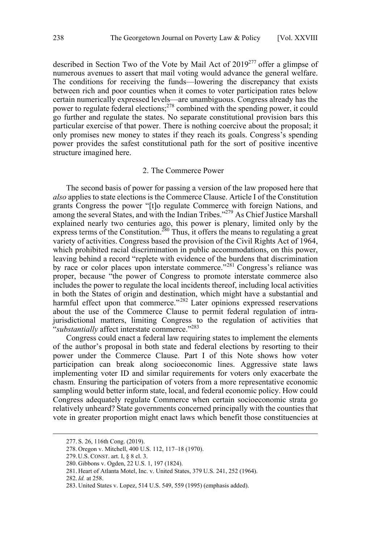<span id="page-37-0"></span>described in Section Two of the Vote by Mail Act of 2019277 offer a glimpse of numerous avenues to assert that mail voting would advance the general welfare. The conditions for receiving the funds—lowering the discrepancy that exists between rich and poor counties when it comes to voter participation rates below certain numerically expressed levels—are unambiguous. Congress already has the power to regulate federal elections;<sup>278</sup> combined with the spending power, it could go further and regulate the states. No separate constitutional provision bars this particular exercise of that power. There is nothing coercive about the proposal; it only promises new money to states if they reach its goals. Congress's spending power provides the safest constitutional path for the sort of positive incentive structure imagined here.

#### 2. The Commerce Power

The second basis of power for passing a version of the law proposed here that *also* applies to state elections is the Commerce Clause. Article I of the Constitution grants Congress the power "[t]o regulate Commerce with foreign Nations, and among the several States, and with the Indian Tribes."<sup>279</sup> As Chief Justice Marshall explained nearly two centuries ago, this power is plenary, limited only by the express terms of the Constitution.<sup>280</sup> Thus, it offers the means to regulating a great variety of activities. Congress based the provision of the Civil Rights Act of 1964, which prohibited racial discrimination in public accommodations, on this power, leaving behind a record "replete with evidence of the burdens that discrimination by race or color places upon interstate commerce."<sup>281</sup> Congress's reliance was proper, because "the power of Congress to promote interstate commerce also includes the power to regulate the local incidents thereof, including local activities in both the States of origin and destination, which might have a substantial and harmful effect upon that commerce."<sup>282</sup> Later opinions expressed reservations about the use of the Commerce Clause to permit federal regulation of intrajurisdictional matters, limiting Congress to the regulation of activities that "*substantially* affect interstate commerce."283

Congress could enact a federal law requiring states to implement the elements of the author's proposal in both state and federal elections by resorting to their power under the Commerce Clause. Part I of this Note shows how voter participation can break along socioeconomic lines. Aggressive state laws implementing voter ID and similar requirements for voters only exacerbate the chasm. Ensuring the participation of voters from a more representative economic sampling would better inform state, local, and federal economic policy. How could Congress adequately regulate Commerce when certain socioeconomic strata go relatively unheard? State governments concerned principally with the counties that vote in greater proportion might enact laws which benefit those constituencies at

 <sup>277.</sup> S. 26, 116th Cong. (2019).

<sup>278.</sup> Oregon v. Mitchell, 400 U.S. 112, 117–18 (1970).

<sup>279.</sup>U.S. CONST. art. I, § 8 cl. 3.

<sup>280.</sup> Gibbons v. Ogden, 22 U.S. 1, 197 (1824).

<sup>281.</sup> Heart of Atlanta Motel, Inc. v. United States, 379 U.S. 241, 252 (1964).

<sup>282.</sup>*Id.* at 258.

<sup>283.</sup> United States v. Lopez, 514 U.S. 549, 559 (1995) (emphasis added).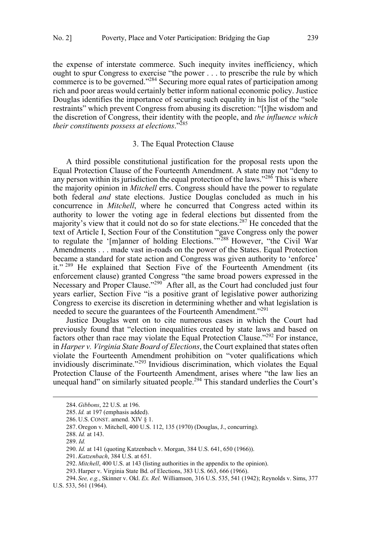<span id="page-38-0"></span>the expense of interstate commerce. Such inequity invites inefficiency, which ought to spur Congress to exercise "the power . . . to prescribe the rule by which commerce is to be governed."284 Securing more equal rates of participation among rich and poor areas would certainly better inform national economic policy. Justice Douglas identifies the importance of securing such equality in his list of the "sole restraints" which prevent Congress from abusing its discretion: "[t]he wisdom and the discretion of Congress, their identity with the people, and *the influence which their constituents possess at elections*."285

#### 3. The Equal Protection Clause

A third possible constitutional justification for the proposal rests upon the Equal Protection Clause of the Fourteenth Amendment. A state may not "deny to any person within its jurisdiction the equal protection of the laws."<sup>286</sup> This is where the majority opinion in *Mitchell* errs. Congress should have the power to regulate both federal *and* state elections. Justice Douglas concluded as much in his concurrence in *Mitchell*, where he concurred that Congress acted within its authority to lower the voting age in federal elections but dissented from the majority's view that it could not do so for state elections.287 He conceded that the text of Article I, Section Four of the Constitution "gave Congress only the power to regulate the '[m]anner of holding Elections.'"<sup>288</sup> However, "the Civil War Amendments . . . made vast in-roads on the power of the States. Equal Protection became a standard for state action and Congress was given authority to 'enforce' it."<sup>289</sup> He explained that Section Five of the Fourteenth Amendment (its enforcement clause) granted Congress "the same broad powers expressed in the Necessary and Proper Clause."<sup>290</sup> After all, as the Court had concluded just four years earlier, Section Five "is a positive grant of legislative power authorizing Congress to exercise its discretion in determining whether and what legislation is needed to secure the guarantees of the Fourteenth Amendment."<sup>291</sup>

Justice Douglas went on to cite numerous cases in which the Court had previously found that "election inequalities created by state laws and based on factors other than race may violate the Equal Protection Clause."292 For instance, in *Harper v. Virginia State Board of Elections*, the Court explained that states often violate the Fourteenth Amendment prohibition on "voter qualifications which invidiously discriminate."<sup>293</sup> Invidious discrimination, which violates the Equal Protection Clause of the Fourteenth Amendment, arises where "the law lies an unequal hand" on similarly situated people.<sup>294</sup> This standard underlies the Court's

<sup>284.</sup> *Gibbons*, 22 U.S. at 196.

<sup>285.</sup>*Id.* at 197 (emphasis added).

<sup>286.</sup> U.S. CONST. amend. XIV § 1.

<sup>287.</sup> Oregon v. Mitchell, 400 U.S. 112, 135 (1970) (Douglas, J., concurring).

<sup>288.</sup> *Id.* at 143.

<sup>289.</sup> *Id.*

<sup>290.</sup> *Id.* at 141 (quoting Katzenbach v. Morgan, 384 U.S. 641, 650 (1966)).

<sup>291.</sup>*Katzenbach*, 384 U.S. at 651.

<sup>292.</sup> *Mitchell*, 400 U.S. at 143 (listing authorities in the appendix to the opinion).

<sup>293..</sup> Harper v. Virginia State Bd. of Elections, 383 U.S. 663, 666 (1966).

<sup>294.</sup> *See, e.g.*, Skinner v. Okl. *Ex. Rel.* Williamson, 316 U.S. 535, 541 (1942); Reynolds v. Sims, 377 U.S. 533, 561 (1964).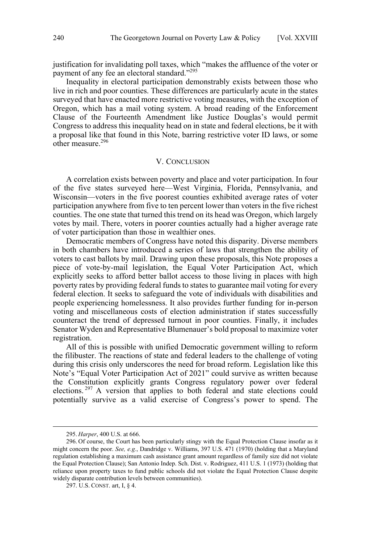<span id="page-39-0"></span>justification for invalidating poll taxes, which "makes the affluence of the voter or payment of any fee an electoral standard."<sup>295</sup>

Inequality in electoral participation demonstrably exists between those who live in rich and poor counties. These differences are particularly acute in the states surveyed that have enacted more restrictive voting measures, with the exception of Oregon, which has a mail voting system. A broad reading of the Enforcement Clause of the Fourteenth Amendment like Justice Douglas's would permit Congress to address this inequality head on in state and federal elections, be it with a proposal like that found in this Note, barring restrictive voter ID laws, or some other measure.<sup>296</sup>

# V. CONCLUSION

A correlation exists between poverty and place and voter participation. In four of the five states surveyed here—West Virginia, Florida, Pennsylvania, and Wisconsin—voters in the five poorest counties exhibited average rates of voter participation anywhere from five to ten percent lower than voters in the five richest counties. The one state that turned this trend on its head was Oregon, which largely votes by mail. There, voters in poorer counties actually had a higher average rate of voter participation than those in wealthier ones.

Democratic members of Congress have noted this disparity. Diverse members in both chambers have introduced a series of laws that strengthen the ability of voters to cast ballots by mail. Drawing upon these proposals, this Note proposes a piece of vote-by-mail legislation, the Equal Voter Participation Act, which explicitly seeks to afford better ballot access to those living in places with high poverty rates by providing federal funds to states to guarantee mail voting for every federal election. It seeks to safeguard the vote of individuals with disabilities and people experiencing homelessness. It also provides further funding for in-person voting and miscellaneous costs of election administration if states successfully counteract the trend of depressed turnout in poor counties. Finally, it includes Senator Wyden and Representative Blumenauer's bold proposal to maximize voter registration.

All of this is possible with unified Democratic government willing to reform the filibuster. The reactions of state and federal leaders to the challenge of voting during this crisis only underscores the need for broad reform. Legislation like this Note's "Equal Voter Participation Act of 2021" could survive as written because the Constitution explicitly grants Congress regulatory power over federal elections.<sup>297</sup> A version that applies to both federal and state elections could potentially survive as a valid exercise of Congress's power to spend. The

<sup>295.</sup> *Harper*, 400 U.S. at 666.

<sup>296.</sup> Of course, the Court has been particularly stingy with the Equal Protection Clause insofar as it might concern the poor. *See, e.g.*, Dandridge v. Williams, 397 U.S. 471 (1970) (holding that a Maryland regulation establishing a maximum cash assistance grant amount regardless of family size did not violate the Equal Protection Clause); San Antonio Indep. Sch. Dist. v. Rodriguez, 411 U.S. 1 (1973) (holding that reliance upon property taxes to fund public schools did not violate the Equal Protection Clause despite widely disparate contribution levels between communities).

<sup>297.</sup> U.S. CONST. art, I, § 4.